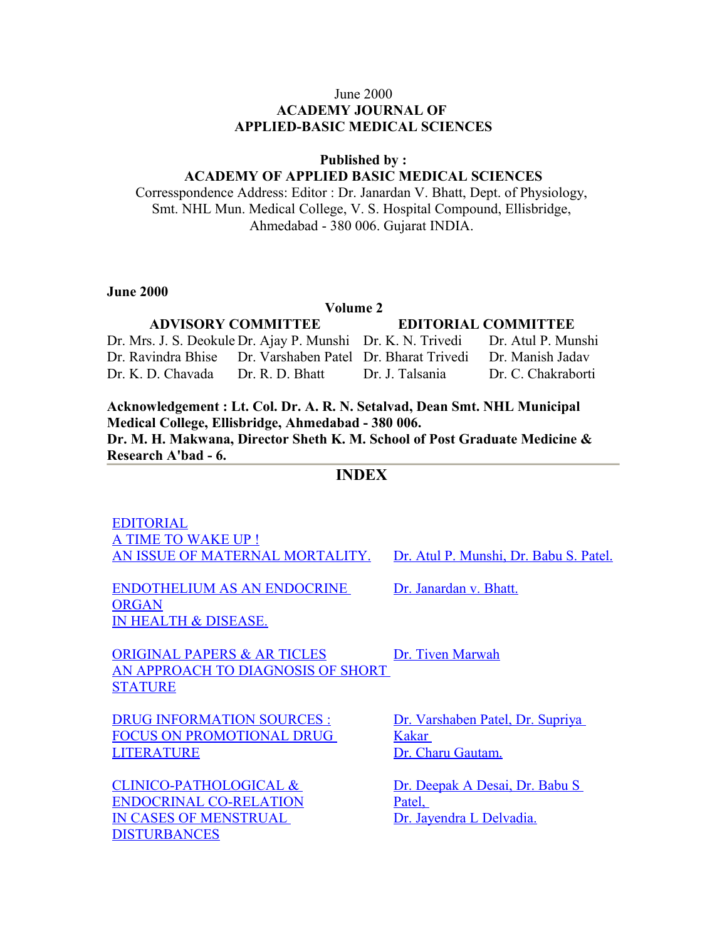#### June 2000 **ACADEMY JOURNAL OF APPLIED-BASIC MEDICAL SCIENCES**

#### **Published by :**

#### **ACADEMY OF APPLIED BASIC MEDICAL SCIENCES**

Corresspondence Address: Editor : Dr. Janardan V. Bhatt, Dept. of Physiology, Smt. NHL Mun. Medical College, V. S. Hospital Compound, Ellisbridge, Ahmedabad - 380 006. Gujarat INDIA.

**June 2000** 

#### **Volume 2**

# **ADVISORY COMMITTEE EDITORIAL COMMITTEE** Dr. Mrs. J. S. Deokule Dr. Ajay P. Munshi Dr. K. N. Trivedi Dr. Atul P. Munshi Dr. Ravindra Bhise Dr. Varshaben Patel Dr. Bharat Trivedi Dr. Manish Jadav Dr. K. D. Chavada Dr. R. D. Bhatt Dr. J. Talsania Dr. C. Chakraborti

**Acknowledgement : Lt. Col. Dr. A. R. N. Setalvad, Dean Smt. NHL Municipal Medical College, Ellisbridge, Ahmedabad - 380 006. Dr. M. H. Makwana, Director Sheth K. M. School of Post Graduate Medicine & Research A'bad - 6.** 

#### **INDEX**

[EDITORIAL](http://www.nhlmmc.edu.in/editorial-time-wakeup.htm) [A TIME TO WAKE UP !](http://www.nhlmmc.edu.in/editorial-time-wakeup.htm) [AN ISSUE OF MATERNAL MORTALITY.](http://www.nhlmmc.edu.in/editorial-time-wakeup.htm) [Dr. Atul P. Munshi, Dr. Babu S. Patel.](http://www.nhlmmc.edu.in/editorial-time-wakeup.htm)

[ENDOTHELIUM AS AN ENDOCRINE](http://www.nhlmmc.edu.in/endothelium-endocrine.htm) [ORGAN](http://www.nhlmmc.edu.in/endothelium-endocrine.htm) [IN HEALTH & DISEASE.](http://www.nhlmmc.edu.in/endothelium-endocrine.htm)

[Dr. Janardan v. Bhatt.](http://www.nhlmmc.edu.in/endothelium-endocrine.htm)

[ORIGINAL PAPERS & AR TICLES](http://www.nhlmmc.edu.in/approach-diagnosis.htm) [AN APPROACH TO DIAGNOSIS OF SHORT](http://www.nhlmmc.edu.in/approach-diagnosis.htm) **[STATURE](http://www.nhlmmc.edu.in/approach-diagnosis.htm)** 

[Dr. Tiven Marwah](http://www.nhlmmc.edu.in/approach-diagnosis.htm)

[DRUG INFORMATION SOURCES :](http://www.nhlmmc.edu.in/drug-info-source.htm) [FOCUS ON PROMOTIONAL DRUG](http://www.nhlmmc.edu.in/drug-info-source.htm) **[LITERATURE](http://www.nhlmmc.edu.in/drug-info-source.htm)** 

[CLINICO-PATHOLOGICAL &](http://www.nhlmmc.edu.in/clinico-pathological-endocrinal.htm) [ENDOCRINAL CO-RELATION](http://www.nhlmmc.edu.in/clinico-pathological-endocrinal.htm) IN CASES OF MENSTRUAL [DISTURBANCES](http://www.nhlmmc.edu.in/clinico-pathological-endocrinal.htm)

[Dr. Varshaben Patel, Dr. Supriya](http://www.nhlmmc.edu.in/drug-info-source.htm) [Kakar](http://www.nhlmmc.edu.in/drug-info-source.htm)  [Dr. Charu Gautam.](http://www.nhlmmc.edu.in/drug-info-source.htm)

[Dr. Deepak A Desai, Dr. Babu S](http://www.nhlmmc.edu.in/clinico-pathological-endocrinal.htm) [Patel,](http://www.nhlmmc.edu.in/clinico-pathological-endocrinal.htm)  [Dr. Jayendra L Delvadia.](http://www.nhlmmc.edu.in/clinico-pathological-endocrinal.htm)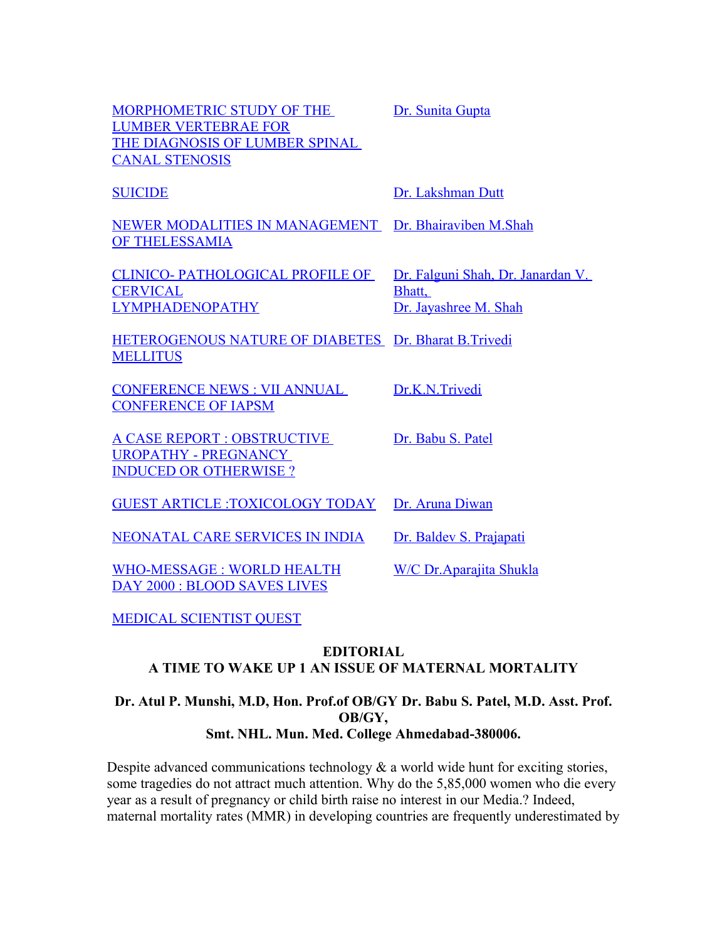| MORPHOMETRIC STUDY OF THE<br><b>LUMBER VERTEBRAE FOR</b><br>THE DIAGNOSIS OF LUMBER SPINAL<br><b>CANAL STENOSIS</b> | Dr. Sunita Gupta                                                     |
|---------------------------------------------------------------------------------------------------------------------|----------------------------------------------------------------------|
| <b>SUICIDE</b>                                                                                                      | Dr. Lakshman Dutt                                                    |
| NEWER MODALITIES IN MANAGEMENT Dr. Bhairaviben M.Shah<br>OF THELESSAMIA                                             |                                                                      |
| <b>CLINICO- PATHOLOGICAL PROFILE OF</b><br><b>CERVICAL</b><br><b>LYMPHADENOPATHY</b>                                | Dr. Falguni Shah, Dr. Janardan V.<br>Bhatt,<br>Dr. Jayashree M. Shah |
| HETEROGENOUS NATURE OF DIABETES Dr. Bharat B.Trivedi<br><b>MELLITUS</b>                                             |                                                                      |
| <b>CONFERENCE NEWS: VII ANNUAL</b><br><b>CONFERENCE OF IAPSM</b>                                                    | Dr.K.N.Trivedi                                                       |
| <b>A CASE REPORT : OBSTRUCTIVE</b><br><b>UROPATHY - PREGNANCY</b><br><b>INDUCED OR OTHERWISE?</b>                   | Dr. Babu S. Patel                                                    |
| <b>GUEST ARTICLE :TOXICOLOGY TODAY</b>                                                                              | Dr. Aruna Diwan                                                      |
| NEONATAL CARE SERVICES IN INDIA                                                                                     | Dr. Baldev S. Prajapati                                              |
| <b>WHO-MESSAGE: WORLD HEALTH</b><br><b>DAY 2000 : BLOOD SAVES LIVES</b>                                             | W/C Dr. Aparajita Shukla                                             |

[MEDICAL SCIENTIST QUEST](http://www.nhlmmc.edu.in/medical-sci-quest.htm)

### **EDITORIAL A TIME TO WAKE UP 1 AN ISSUE OF MATERNAL MORTALITY**

### **Dr. Atul P. Munshi, M.D, Hon. Prof.of OB/GY Dr. Babu S. Patel, M.D. Asst. Prof. OB/GY, Smt. NHL. Mun. Med. College Ahmedabad-380006.**

Despite advanced communications technology  $\&$  a world wide hunt for exciting stories, some tragedies do not attract much attention. Why do the 5,85,000 women who die every year as a result of pregnancy or child birth raise no interest in our Media.? Indeed, maternal mortality rates (MMR) in developing countries are frequently underestimated by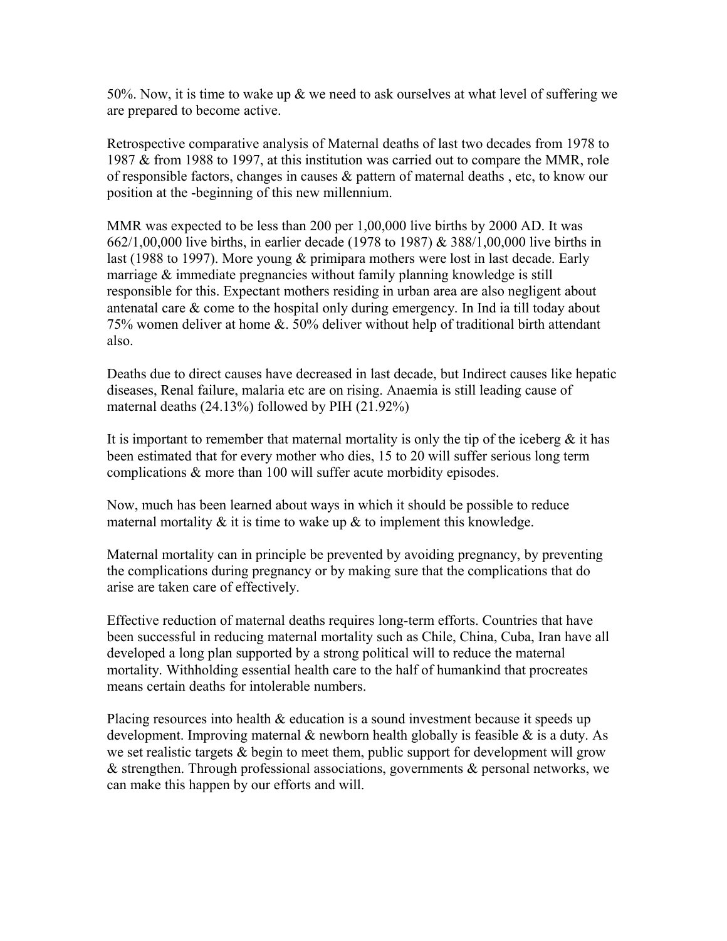50%. Now, it is time to wake up & we need to ask ourselves at what level of suffering we are prepared to become active.

Retrospective comparative analysis of Maternal deaths of last two decades from 1978 to 1987 & from 1988 to 1997, at this institution was carried out to compare the MMR, role of responsible factors, changes in causes & pattern of maternal deaths , etc, to know our position at the -beginning of this new millennium.

MMR was expected to be less than 200 per 1,00,000 live births by 2000 AD. It was 662/1,00,000 live births, in earlier decade (1978 to 1987) & 388/1,00,000 live births in last (1988 to 1997). More young & primipara mothers were lost in last decade. Early marriage  $\&$  immediate pregnancies without family planning knowledge is still responsible for this. Expectant mothers residing in urban area are also negligent about antenatal care & come to the hospital only during emergency. In Ind ia till today about 75% women deliver at home &. 50% deliver without help of traditional birth attendant also.

Deaths due to direct causes have decreased in last decade, but Indirect causes like hepatic diseases, Renal failure, malaria etc are on rising. Anaemia is still leading cause of maternal deaths (24.13%) followed by PIH (21.92%)

It is important to remember that maternal mortality is only the tip of the iceberg  $\&$  it has been estimated that for every mother who dies, 15 to 20 will suffer serious long term complications & more than 100 will suffer acute morbidity episodes.

Now, much has been learned about ways in which it should be possible to reduce maternal mortality  $\&$  it is time to wake up  $\&$  to implement this knowledge.

Maternal mortality can in principle be prevented by avoiding pregnancy, by preventing the complications during pregnancy or by making sure that the complications that do arise are taken care of effectively.

Effective reduction of maternal deaths requires long-term efforts. Countries that have been successful in reducing maternal mortality such as Chile, China, Cuba, Iran have all developed a long plan supported by a strong political will to reduce the maternal mortality. Withholding essential health care to the half of humankind that procreates means certain deaths for intolerable numbers.

Placing resources into health & education is a sound investment because it speeds up development. Improving maternal  $\&$  newborn health globally is feasible  $\&$  is a duty. As we set realistic targets & begin to meet them, public support for development will grow & strengthen. Through professional associations, governments & personal networks, we can make this happen by our efforts and will.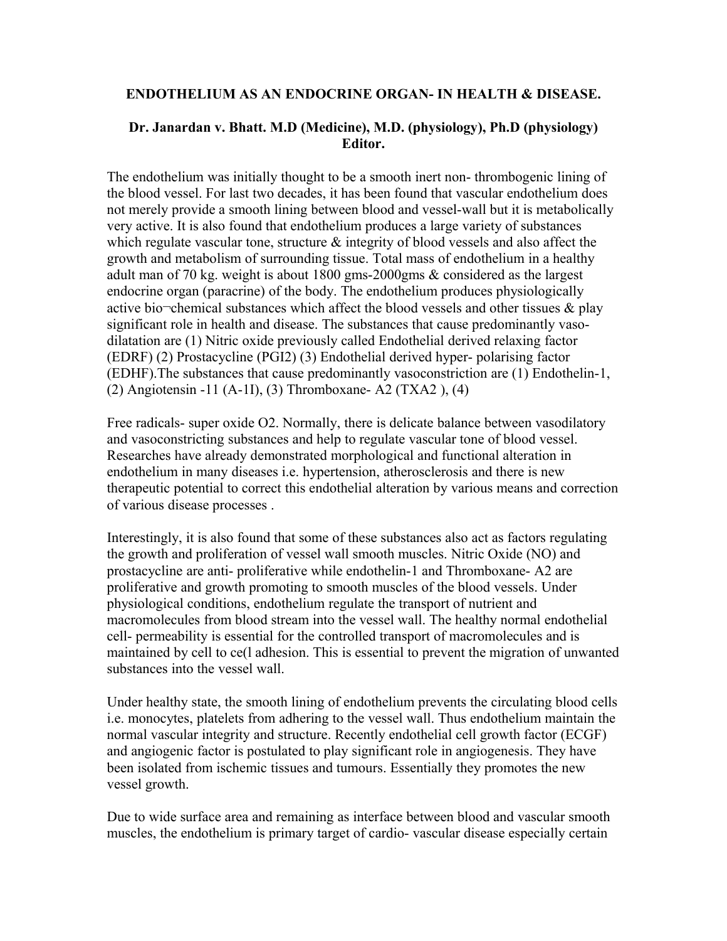#### **ENDOTHELIUM AS AN ENDOCRINE ORGAN- IN HEALTH & DISEASE.**

### **Dr. Janardan v. Bhatt. M.D (Medicine), M.D. (physiology), Ph.D (physiology) Editor.**

The endothelium was initially thought to be a smooth inert non- thrombogenic lining of the blood vessel. For last two decades, it has been found that vascular endothelium does not merely provide a smooth lining between blood and vessel-wall but it is metabolically very active. It is also found that endothelium produces a large variety of substances which regulate vascular tone, structure  $\&$  integrity of blood vessels and also affect the growth and metabolism of surrounding tissue. Total mass of endothelium in a healthy adult man of 70 kg. weight is about 1800 gms-2000gms & considered as the largest endocrine organ (paracrine) of the body. The endothelium produces physiologically active bio $\neg$ chemical substances which affect the blood vessels and other tissues  $\&$  play significant role in health and disease. The substances that cause predominantly vasodilatation are (1) Nitric oxide previously called Endothelial derived relaxing factor (EDRF) (2) Prostacycline (PGI2) (3) Endothelial derived hyper- polarising factor (EDHF).The substances that cause predominantly vasoconstriction are (1) Endothelin-1, (2) Angiotensin -11 (A-1I), (3) Thromboxane- A2 (TXA2 ), (4)

Free radicals- super oxide O2. Normally, there is delicate balance between vasodilatory and vasoconstricting substances and help to regulate vascular tone of blood vessel. Researches have already demonstrated morphological and functional alteration in endothelium in many diseases i.e. hypertension, atherosclerosis and there is new therapeutic potential to correct this endothelial alteration by various means and correction of various disease processes .

Interestingly, it is also found that some of these substances also act as factors regulating the growth and proliferation of vessel wall smooth muscles. Nitric Oxide (NO) and prostacycline are anti- proliferative while endothelin-1 and Thromboxane- A2 are proliferative and growth promoting to smooth muscles of the blood vessels. Under physiological conditions, endothelium regulate the transport of nutrient and macromolecules from blood stream into the vessel wall. The healthy normal endothelial cell- permeability is essential for the controlled transport of macromolecules and is maintained by cell to ce(l adhesion. This is essential to prevent the migration of unwanted substances into the vessel wall.

Under healthy state, the smooth lining of endothelium prevents the circulating blood cells i.e. monocytes, platelets from adhering to the vessel wall. Thus endothelium maintain the normal vascular integrity and structure. Recently endothelial cell growth factor (ECGF) and angiogenic factor is postulated to play significant role in angiogenesis. They have been isolated from ischemic tissues and tumours. Essentially they promotes the new vessel growth.

Due to wide surface area and remaining as interface between blood and vascular smooth muscles, the endothelium is primary target of cardio- vascular disease especially certain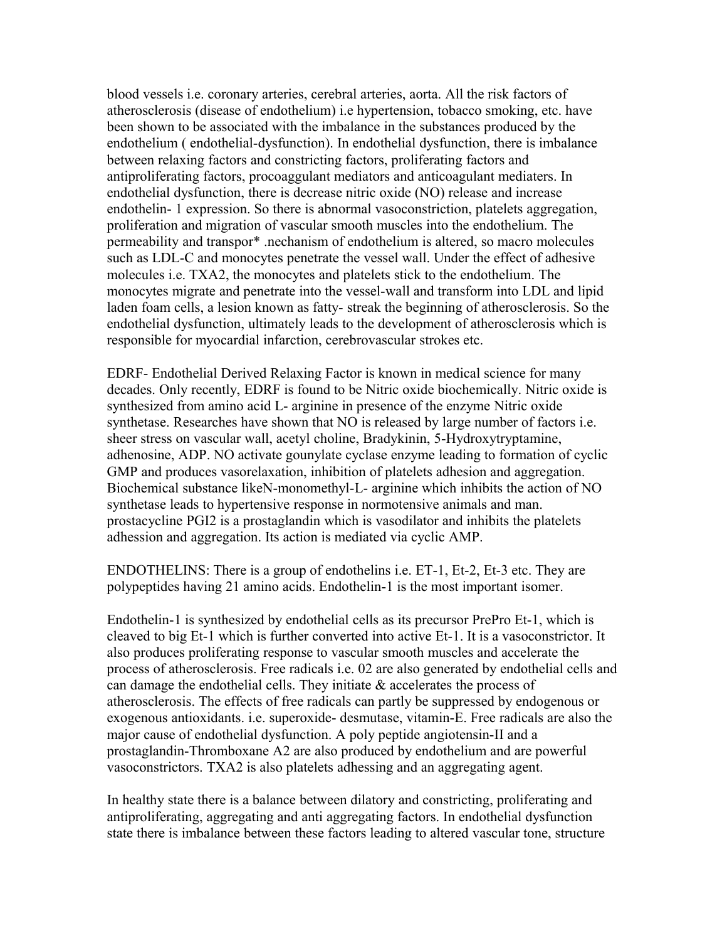blood vessels i.e. coronary arteries, cerebral arteries, aorta. All the risk factors of atherosclerosis (disease of endothelium) i.e hypertension, tobacco smoking, etc. have been shown to be associated with the imbalance in the substances produced by the endothelium ( endothelial-dysfunction). In endothelial dysfunction, there is imbalance between relaxing factors and constricting factors, proliferating factors and antiproliferating factors, procoaggulant mediators and anticoagulant mediaters. In endothelial dysfunction, there is decrease nitric oxide (NO) release and increase endothelin- 1 expression. So there is abnormal vasoconstriction, platelets aggregation, proliferation and migration of vascular smooth muscles into the endothelium. The permeability and transpor\* .nechanism of endothelium is altered, so macro molecules such as LDL-C and monocytes penetrate the vessel wall. Under the effect of adhesive molecules i.e. TXA2, the monocytes and platelets stick to the endothelium. The monocytes migrate and penetrate into the vessel-wall and transform into LDL and lipid laden foam cells, a lesion known as fatty- streak the beginning of atherosclerosis. So the endothelial dysfunction, ultimately leads to the development of atherosclerosis which is responsible for myocardial infarction, cerebrovascular strokes etc.

EDRF- Endothelial Derived Relaxing Factor is known in medical science for many decades. Only recently, EDRF is found to be Nitric oxide biochemically. Nitric oxide is synthesized from amino acid L- arginine in presence of the enzyme Nitric oxide synthetase. Researches have shown that NO is released by large number of factors i.e. sheer stress on vascular wall, acetyl choline, Bradykinin, 5-Hydroxytryptamine, adhenosine, ADP. NO activate gounylate cyclase enzyme leading to formation of cyclic GMP and produces vasorelaxation, inhibition of platelets adhesion and aggregation. Biochemical substance likeN-monomethyl-L- arginine which inhibits the action of NO synthetase leads to hypertensive response in normotensive animals and man. prostacycline PGI2 is a prostaglandin which is vasodilator and inhibits the platelets adhession and aggregation. Its action is mediated via cyclic AMP.

ENDOTHELINS: There is a group of endothelins i.e. ET-1, Et-2, Et-3 etc. They are polypeptides having 21 amino acids. Endothelin-1 is the most important isomer.

Endothelin-1 is synthesized by endothelial cells as its precursor PrePro Et-1, which is cleaved to big Et-1 which is further converted into active Et-1. It is a vasoconstrictor. It also produces proliferating response to vascular smooth muscles and accelerate the process of atherosclerosis. Free radicals i.e. 02 are also generated by endothelial cells and can damage the endothelial cells. They initiate & accelerates the process of atherosclerosis. The effects of free radicals can partly be suppressed by endogenous or exogenous antioxidants. i.e. superoxide- desmutase, vitamin-E. Free radicals are also the major cause of endothelial dysfunction. A poly peptide angiotensin-II and a prostaglandin-Thromboxane A2 are also produced by endothelium and are powerful vasoconstrictors. TXA2 is also platelets adhessing and an aggregating agent.

In healthy state there is a balance between dilatory and constricting, proliferating and antiproliferating, aggregating and anti aggregating factors. In endothelial dysfunction state there is imbalance between these factors leading to altered vascular tone, structure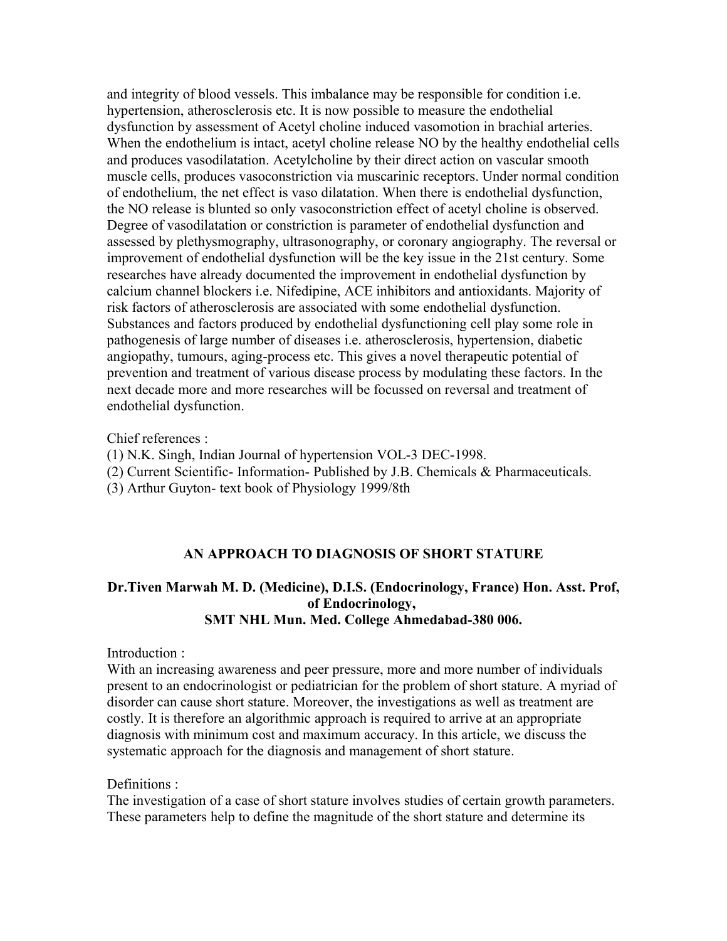and integrity of blood vessels. This imbalance may be responsible for condition i.e. hypertension, atherosclerosis etc. It is now possible to measure the endothelial dysfunction by assessment of Acetyl choline induced vasomotion in brachial arteries. When the endothelium is intact, acetyl choline release NO by the healthy endothelial cells and produces vasodilatation. Acetylcholine by their direct action on vascular smooth muscle cells, produces vasoconstriction via muscarinic receptors. Under normal condition of endothelium, the net effect is vaso dilatation. When there is endothelial dysfunction, the NO release is blunted so only vasoconstriction effect of acetyl choline is observed. Degree of vasodilatation or constriction is parameter of endothelial dysfunction and assessed by plethysmography, ultrasonography, or coronary angiography. The reversal or improvement of endothelial dysfunction will be the key issue in the 21st century. Some researches have already documented the improvement in endothelial dysfunction by calcium channel blockers i.e. Nifedipine, ACE inhibitors and antioxidants. Majority of risk factors of atherosclerosis are associated with some endothelial dysfunction. Substances and factors produced by endothelial dysfunctioning cell play some role in pathogenesis of large number of diseases i.e. atherosclerosis, hypertension, diabetic angiopathy, tumours, aging-process etc. This gives a novel therapeutic potential of prevention and treatment of various disease process by modulating these factors. In the next decade more and more researches will be focussed on reversal and treatment of endothelial dysfunction.

Chief references :

- (1) N.K. Singh, Indian Journal of hypertension VOL-3 DEC-1998.
- (2) Current Scientific- Information- Published by J.B. Chemicals & Pharmaceuticals.
- (3) Arthur Guyton- text book of Physiology 1999/8th

#### **AN APPROACH TO DIAGNOSIS OF SHORT STATURE**

# **Dr.Tiven Marwah M. D. (Medicine), D.I.S. (Endocrinology, France) Hon. Asst. Prof, of Endocrinology, SMT NHL Mun. Med. College Ahmedabad-380 006.**

#### Introduction :

With an increasing awareness and peer pressure, more and more number of individuals present to an endocrinologist or pediatrician for the problem of short stature. A myriad of disorder can cause short stature. Moreover, the investigations as well as treatment are costly. It is therefore an algorithmic approach is required to arrive at an appropriate diagnosis with minimum cost and maximum accuracy. In this article, we discuss the systematic approach for the diagnosis and management of short stature.

#### Definitions :

The investigation of a case of short stature involves studies of certain growth parameters. These parameters help to define the magnitude of the short stature and determine its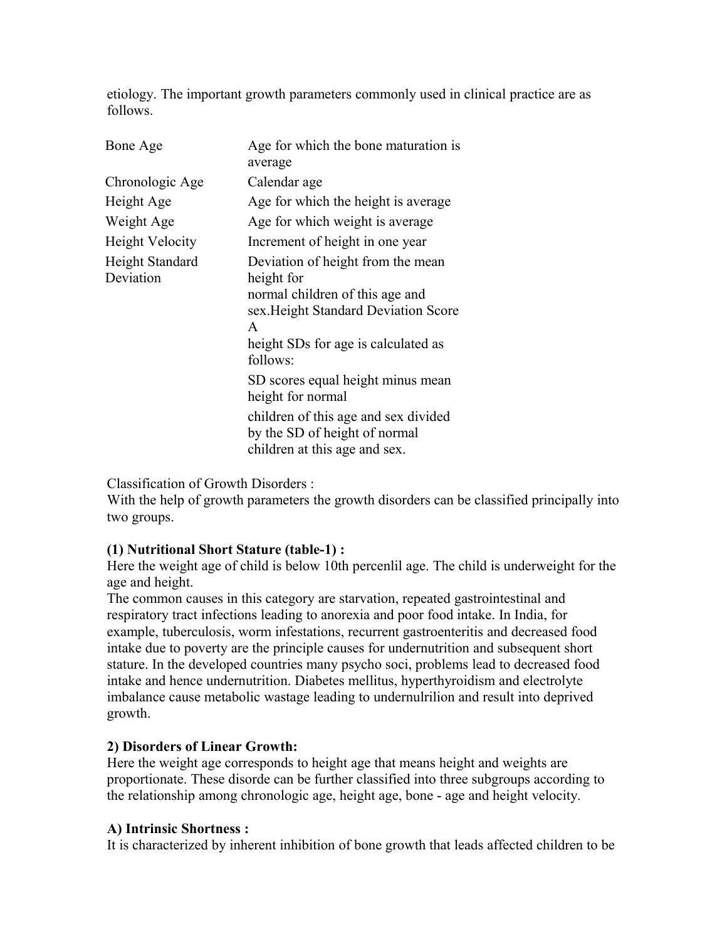etiology. The important growth parameters commonly used in clinical practice are as follows.

| Bone Age                     | Age for which the bone maturation is<br>average                                                                                                                                    |
|------------------------------|------------------------------------------------------------------------------------------------------------------------------------------------------------------------------------|
| Chronologic Age              | Calendar age                                                                                                                                                                       |
| Height Age                   | Age for which the height is average                                                                                                                                                |
| Weight Age                   | Age for which weight is average                                                                                                                                                    |
| <b>Height Velocity</b>       | Increment of height in one year                                                                                                                                                    |
| Height Standard<br>Deviation | Deviation of height from the mean<br>height for<br>normal children of this age and<br>sex. Height Standard Deviation Score<br>A<br>height SDs for age is calculated as<br>follows: |
|                              | SD scores equal height minus mean<br>height for normal                                                                                                                             |
|                              | children of this age and sex divided<br>by the SD of height of normal<br>children at this age and sex.                                                                             |

Classification of Growth Disorders :

With the help of growth parameters the growth disorders can be classified principally into two groups.

### **(1) Nutritional Short Stature (table-1) :**

Here the weight age of child is below 10th percenlil age. The child is underweight for the age and height.

The common causes in this category are starvation, repeated gastrointestinal and respiratory tract infections leading to anorexia and poor food intake. In India, for example, tuberculosis, worm infestations, recurrent gastroenteritis and decreased food intake due to poverty are the principle causes for undernutrition and subsequent short stature. In the developed countries many psycho soci, problems lead to decreased food intake and hence undernutrition. Diabetes mellitus, hyperthyroidism and electrolyte imbalance cause metabolic wastage leading to undernulrilion and result into deprived growth.

#### **2) Disorders of Linear Growth:**

Here the weight age corresponds to height age that means height and weights are proportionate. These disorde can be further classified into three subgroups according to the relationship among chronologic age, height age, bone - age and height velocity.

### **A) Intrinsic Shortness :**

It is characterized by inherent inhibition of bone growth that leads affected children to be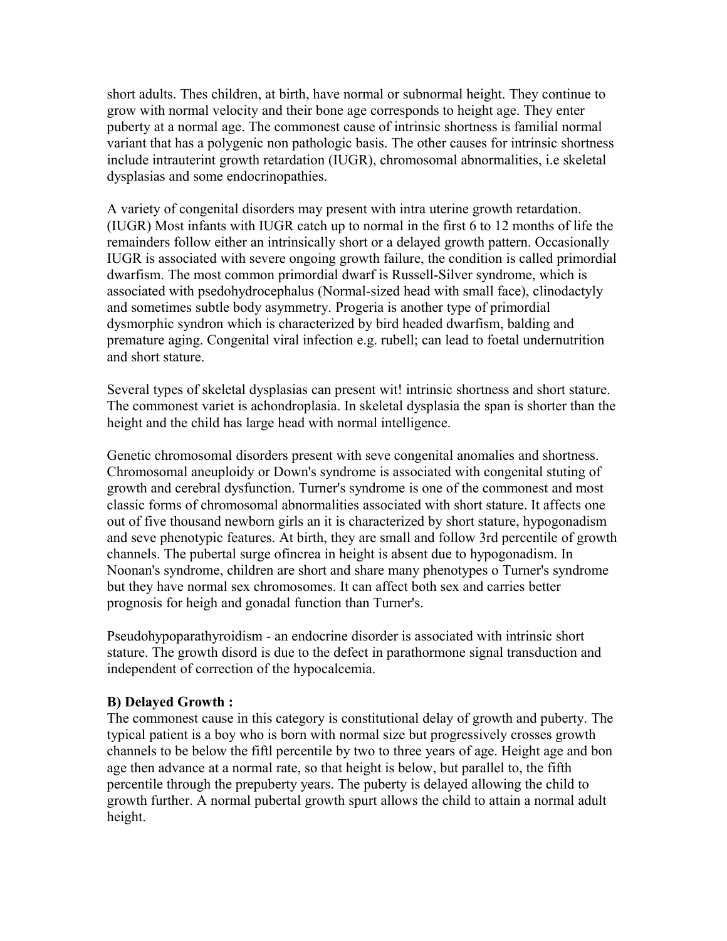short adults. Thes children, at birth, have normal or subnormal height. They continue to grow with normal velocity and their bone age corresponds to height age. They enter puberty at a normal age. The commonest cause of intrinsic shortness is familial normal variant that has a polygenic non pathologic basis. The other causes for intrinsic shortness include intrauterint growth retardation (IUGR), chromosomal abnormalities, i.e skeletal dysplasias and some endocrinopathies.

A variety of congenital disorders may present with intra uterine growth retardation. (IUGR) Most infants with IUGR catch up to normal in the first 6 to 12 months of life the remainders follow either an intrinsically short or a delayed growth pattern. Occasionally IUGR is associated with severe ongoing growth failure, the condition is called primordial dwarfism. The most common primordial dwarf is Russell-Silver syndrome, which is associated with psedohydrocephalus (Normal-sized head with small face), clinodactyly and sometimes subtle body asymmetry. Progeria is another type of primordial dysmorphic syndron which is characterized by bird headed dwarfism, balding and premature aging. Congenital viral infection e.g. rubell; can lead to foetal undernutrition and short stature.

Several types of skeletal dysplasias can present wit! intrinsic shortness and short stature. The commonest variet is achondroplasia. In skeletal dysplasia the span is shorter than the height and the child has large head with normal intelligence.

Genetic chromosomal disorders present with seve congenital anomalies and shortness. Chromosomal aneuploidy or Down's syndrome is associated with congenital stuting of growth and cerebral dysfunction. Turner's syndrome is one of the commonest and most classic forms of chromosomal abnormalities associated with short stature. It affects one out of five thousand newborn girls an it is characterized by short stature, hypogonadism and seve phenotypic features. At birth, they are small and follow 3rd percentile of growth channels. The pubertal surge ofincrea in height is absent due to hypogonadism. In Noonan's syndrome, children are short and share many phenotypes o Turner's syndrome but they have normal sex chromosomes. It can affect both sex and carries better prognosis for heigh and gonadal function than Turner's.

Pseudohypoparathyroidism - an endocrine disorder is associated with intrinsic short stature. The growth disord is due to the defect in parathormone signal transduction and independent of correction of the hypocalcemia.

#### **B) Delayed Growth :**

The commonest cause in this category is constitutional delay of growth and puberty. The typical patient is a boy who is born with normal size but progressively crosses growth channels to be below the fiftl percentile by two to three years of age. Height age and bon age then advance at a normal rate, so that height is below, but parallel to, the fifth percentile through the prepuberty years. The puberty is delayed allowing the child to growth further. A normal pubertal growth spurt allows the child to attain a normal adult height.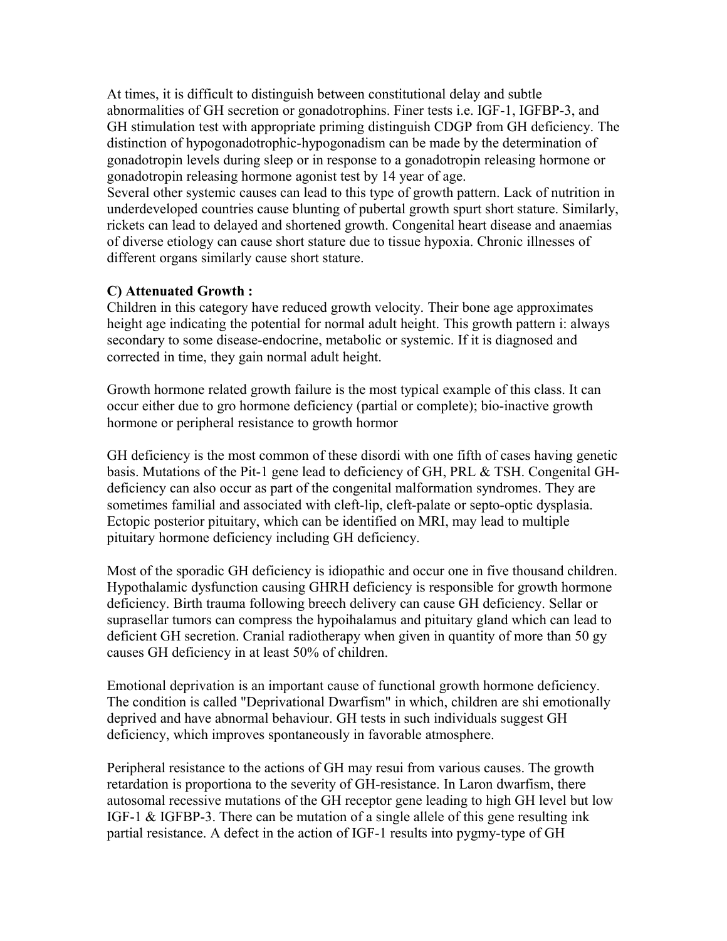At times, it is difficult to distinguish between constitutional delay and subtle abnormalities of GH secretion or gonadotrophins. Finer tests i.e. IGF-1, IGFBP-3, and GH stimulation test with appropriate priming distinguish CDGP from GH deficiency. The distinction of hypogonadotrophic-hypogonadism can be made by the determination of gonadotropin levels during sleep or in response to a gonadotropin releasing hormone or gonadotropin releasing hormone agonist test by 14 year of age.

Several other systemic causes can lead to this type of growth pattern. Lack of nutrition in underdeveloped countries cause blunting of pubertal growth spurt short stature. Similarly, rickets can lead to delayed and shortened growth. Congenital heart disease and anaemias of diverse etiology can cause short stature due to tissue hypoxia. Chronic illnesses of different organs similarly cause short stature.

### **C) Attenuated Growth :**

Children in this category have reduced growth velocity. Their bone age approximates height age indicating the potential for normal adult height. This growth pattern i: always secondary to some disease-endocrine, metabolic or systemic. If it is diagnosed and corrected in time, they gain normal adult height.

Growth hormone related growth failure is the most typical example of this class. It can occur either due to gro hormone deficiency (partial or complete); bio-inactive growth hormone or peripheral resistance to growth hormor

GH deficiency is the most common of these disordi with one fifth of cases having genetic basis. Mutations of the Pit-1 gene lead to deficiency of GH, PRL & TSH. Congenital GHdeficiency can also occur as part of the congenital malformation syndromes. They are sometimes familial and associated with cleft-lip, cleft-palate or septo-optic dysplasia. Ectopic posterior pituitary, which can be identified on MRI, may lead to multiple pituitary hormone deficiency including GH deficiency.

Most of the sporadic GH deficiency is idiopathic and occur one in five thousand children. Hypothalamic dysfunction causing GHRH deficiency is responsible for growth hormone deficiency. Birth trauma following breech delivery can cause GH deficiency. Sellar or suprasellar tumors can compress the hypoihalamus and pituitary gland which can lead to deficient GH secretion. Cranial radiotherapy when given in quantity of more than 50 gy causes GH deficiency in at least 50% of children.

Emotional deprivation is an important cause of functional growth hormone deficiency. The condition is called "Deprivational Dwarfism" in which, children are shi emotionally deprived and have abnormal behaviour. GH tests in such individuals suggest GH deficiency, which improves spontaneously in favorable atmosphere.

Peripheral resistance to the actions of GH may resui from various causes. The growth retardation is proportiona to the severity of GH-resistance. In Laron dwarfism, there autosomal recessive mutations of the GH receptor gene leading to high GH level but low IGF-1 & IGFBP-3. There can be mutation of a single allele of this gene resulting ink partial resistance. A defect in the action of IGF-1 results into pygmy-type of GH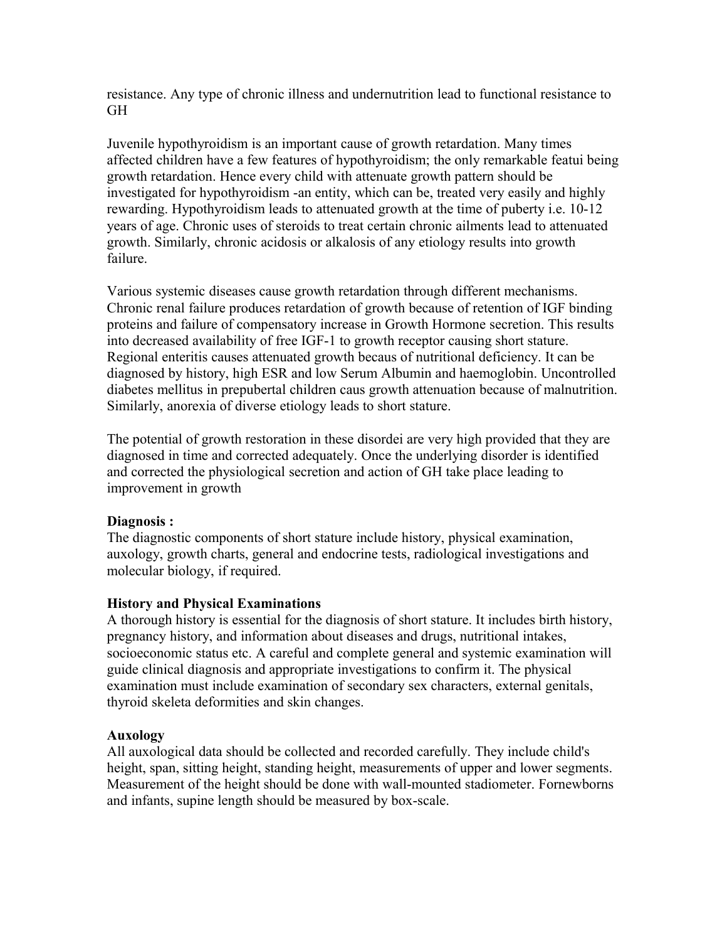resistance. Any type of chronic illness and undernutrition lead to functional resistance to GH

Juvenile hypothyroidism is an important cause of growth retardation. Many times affected children have a few features of hypothyroidism; the only remarkable featui being growth retardation. Hence every child with attenuate growth pattern should be investigated for hypothyroidism -an entity, which can be, treated very easily and highly rewarding. Hypothyroidism leads to attenuated growth at the time of puberty i.e. 10-12 years of age. Chronic uses of steroids to treat certain chronic ailments lead to attenuated growth. Similarly, chronic acidosis or alkalosis of any etiology results into growth failure.

Various systemic diseases cause growth retardation through different mechanisms. Chronic renal failure produces retardation of growth because of retention of IGF binding proteins and failure of compensatory increase in Growth Hormone secretion. This results into decreased availability of free IGF-1 to growth receptor causing short stature. Regional enteritis causes attenuated growth becaus of nutritional deficiency. It can be diagnosed by history, high ESR and low Serum Albumin and haemoglobin. Uncontrolled diabetes mellitus in prepubertal children caus growth attenuation because of malnutrition. Similarly, anorexia of diverse etiology leads to short stature.

The potential of growth restoration in these disordei are very high provided that they are diagnosed in time and corrected adequately. Once the underlying disorder is identified and corrected the physiological secretion and action of GH take place leading to improvement in growth

#### **Diagnosis :**

The diagnostic components of short stature include history, physical examination, auxology, growth charts, general and endocrine tests, radiological investigations and molecular biology, if required.

### **History and Physical Examinations**

A thorough history is essential for the diagnosis of short stature. It includes birth history, pregnancy history, and information about diseases and drugs, nutritional intakes, socioeconomic status etc. A careful and complete general and systemic examination will guide clinical diagnosis and appropriate investigations to confirm it. The physical examination must include examination of secondary sex characters, external genitals, thyroid skeleta deformities and skin changes.

#### **Auxology**

All auxological data should be collected and recorded carefully. They include child's height, span, sitting height, standing height, measurements of upper and lower segments. Measurement of the height should be done with wall-mounted stadiometer. Fornewborns and infants, supine length should be measured by box-scale.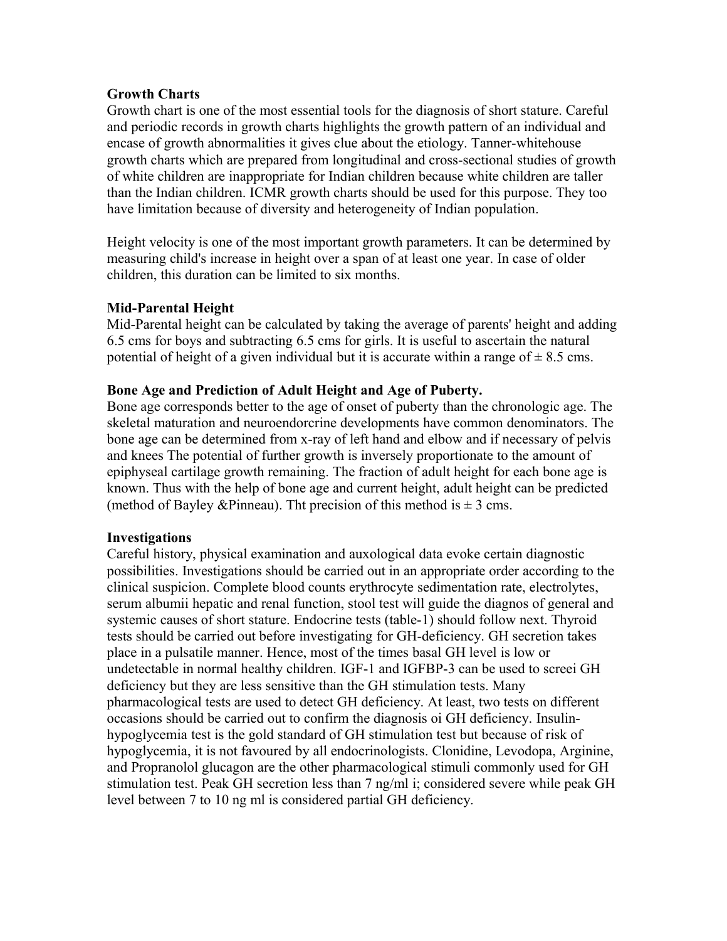#### **Growth Charts**

Growth chart is one of the most essential tools for the diagnosis of short stature. Careful and periodic records in growth charts highlights the growth pattern of an individual and encase of growth abnormalities it gives clue about the etiology. Tanner-whitehouse growth charts which are prepared from longitudinal and cross-sectional studies of growth of white children are inappropriate for Indian children because white children are taller than the Indian children. ICMR growth charts should be used for this purpose. They too have limitation because of diversity and heterogeneity of Indian population.

Height velocity is one of the most important growth parameters. It can be determined by measuring child's increase in height over a span of at least one year. In case of older children, this duration can be limited to six months.

### **Mid-Parental Height**

Mid-Parental height can be calculated by taking the average of parents' height and adding 6.5 cms for boys and subtracting 6.5 cms for girls. It is useful to ascertain the natural potential of height of a given individual but it is accurate within a range of  $\pm$  8.5 cms.

#### **Bone Age and Prediction of Adult Height and Age of Puberty.**

Bone age corresponds better to the age of onset of puberty than the chronologic age. The skeletal maturation and neuroendorcrine developments have common denominators. The bone age can be determined from x-ray of left hand and elbow and if necessary of pelvis and knees The potential of further growth is inversely proportionate to the amount of epiphyseal cartilage growth remaining. The fraction of adult height for each bone age is known. Thus with the help of bone age and current height, adult height can be predicted (method of Bayley & Pinneau). Tht precision of this method is  $\pm 3$  cms.

#### **Investigations**

Careful history, physical examination and auxological data evoke certain diagnostic possibilities. Investigations should be carried out in an appropriate order according to the clinical suspicion. Complete blood counts erythrocyte sedimentation rate, electrolytes, serum albumii hepatic and renal function, stool test will guide the diagnos of general and systemic causes of short stature. Endocrine tests (table-1) should follow next. Thyroid tests should be carried out before investigating for GH-deficiency. GH secretion takes place in a pulsatile manner. Hence, most of the times basal GH level is low or undetectable in normal healthy children. IGF-1 and IGFBP-3 can be used to screei GH deficiency but they are less sensitive than the GH stimulation tests. Many pharmacological tests are used to detect GH deficiency. At least, two tests on different occasions should be carried out to confirm the diagnosis oi GH deficiency. Insulinhypoglycemia test is the gold standard of GH stimulation test but because of risk of hypoglycemia, it is not favoured by all endocrinologists. Clonidine, Levodopa, Arginine, and Propranolol glucagon are the other pharmacological stimuli commonly used for GH stimulation test. Peak GH secretion less than 7 ng/ml i; considered severe while peak GH level between 7 to 10 ng ml is considered partial GH deficiency.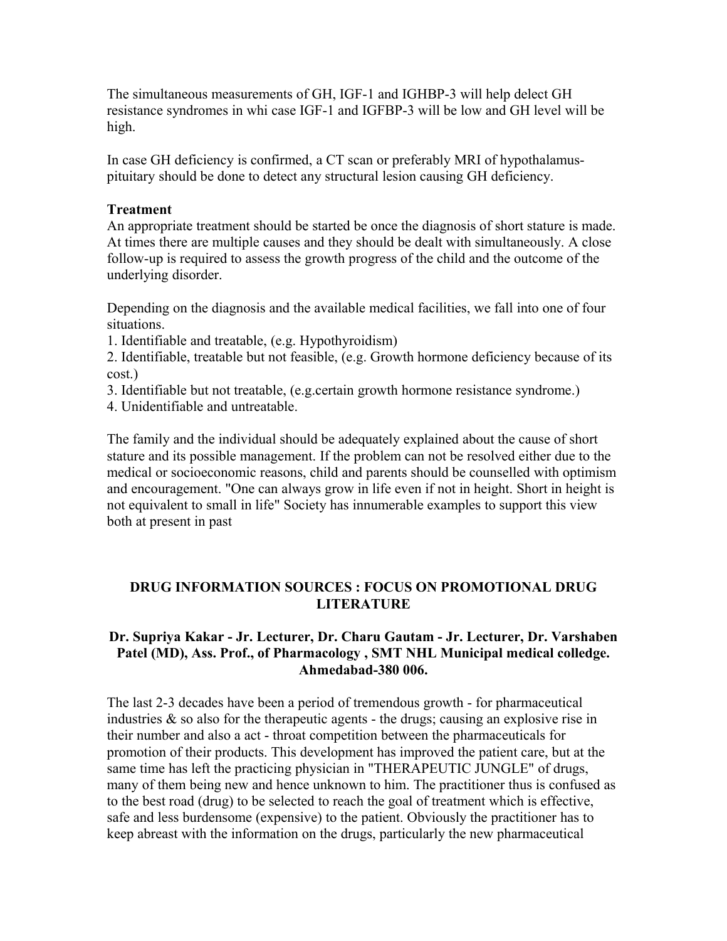The simultaneous measurements of GH, IGF-1 and IGHBP-3 will help delect GH resistance syndromes in whi case IGF-1 and IGFBP-3 will be low and GH level will be high.

In case GH deficiency is confirmed, a CT scan or preferably MRI of hypothalamuspituitary should be done to detect any structural lesion causing GH deficiency.

#### **Treatment**

An appropriate treatment should be started be once the diagnosis of short stature is made. At times there are multiple causes and they should be dealt with simultaneously. A close follow-up is required to assess the growth progress of the child and the outcome of the underlying disorder.

Depending on the diagnosis and the available medical facilities, we fall into one of four situations.

1. Identifiable and treatable, (e.g. Hypothyroidism)

2. Identifiable, treatable but not feasible, (e.g. Growth hormone deficiency because of its cost.)

- 3. Identifiable but not treatable, (e.g.certain growth hormone resistance syndrome.)
- 4. Unidentifiable and untreatable.

The family and the individual should be adequately explained about the cause of short stature and its possible management. If the problem can not be resolved either due to the medical or socioeconomic reasons, child and parents should be counselled with optimism and encouragement. "One can always grow in life even if not in height. Short in height is not equivalent to small in life" Society has innumerable examples to support this view both at present in past

# **DRUG INFORMATION SOURCES : FOCUS ON PROMOTIONAL DRUG LITERATURE**

#### **Dr. Supriya Kakar - Jr. Lecturer, Dr. Charu Gautam - Jr. Lecturer, Dr. Varshaben Patel (MD), Ass. Prof., of Pharmacology , SMT NHL Municipal medical colledge. Ahmedabad-380 006.**

The last 2-3 decades have been a period of tremendous growth - for pharmaceutical industries  $\&$  so also for the therapeutic agents - the drugs; causing an explosive rise in their number and also a act - throat competition between the pharmaceuticals for promotion of their products. This development has improved the patient care, but at the same time has left the practicing physician in "THERAPEUTIC JUNGLE" of drugs, many of them being new and hence unknown to him. The practitioner thus is confused as to the best road (drug) to be selected to reach the goal of treatment which is effective, safe and less burdensome (expensive) to the patient. Obviously the practitioner has to keep abreast with the information on the drugs, particularly the new pharmaceutical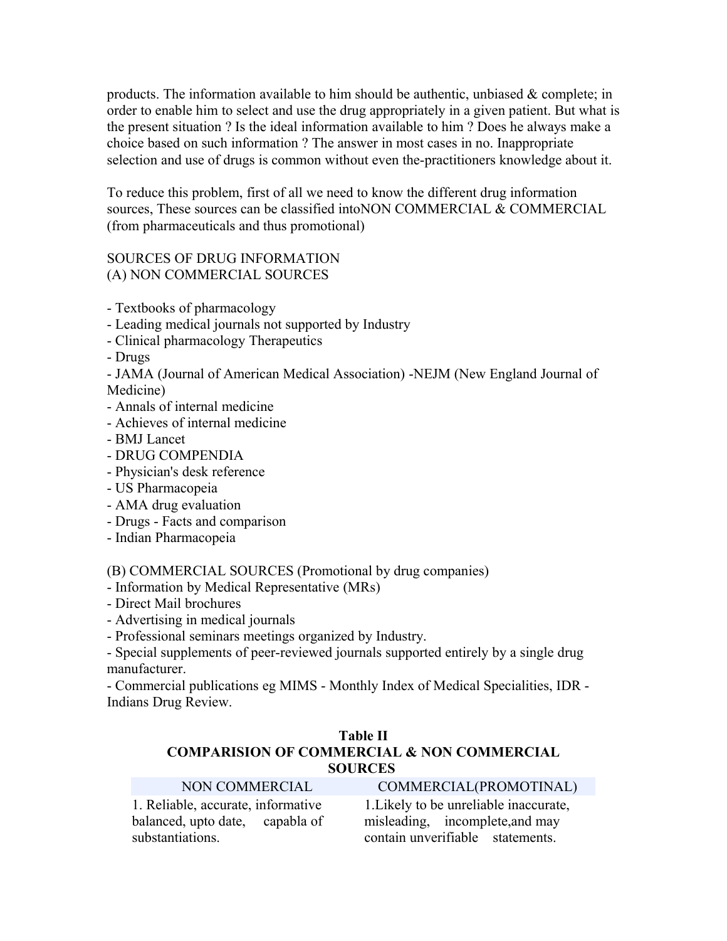products. The information available to him should be authentic, unbiased  $\&$  complete; in order to enable him to select and use the drug appropriately in a given patient. But what is the present situation ? Is the ideal information available to him ? Does he always make a choice based on such information ? The answer in most cases in no. Inappropriate selection and use of drugs is common without even the-practitioners knowledge about it.

To reduce this problem, first of all we need to know the different drug information sources, These sources can be classified intoNON COMMERCIAL & COMMERCIAL (from pharmaceuticals and thus promotional)

# SOURCES OF DRUG INFORMATION (A) NON COMMERCIAL SOURCES

- Textbooks of pharmacology
- Leading medical journals not supported by Industry
- Clinical pharmacology Therapeutics
- Drugs

- JAMA (Journal of American Medical Association) -NEJM (New England Journal of Medicine)

- Annals of internal medicine
- Achieves of internal medicine
- BMJ Lancet
- DRUG COMPENDIA
- Physician's desk reference
- US Pharmacopeia
- AMA drug evaluation
- Drugs Facts and comparison
- Indian Pharmacopeia

(B) COMMERCIAL SOURCES (Promotional by drug companies)

- Information by Medical Representative (MRs)
- Direct Mail brochures
- Advertising in medical journals

- Professional seminars meetings organized by Industry.

- Special supplements of peer-reviewed journals supported entirely by a single drug manufacturer.

- Commercial publications eg MIMS - Monthly Index of Medical Specialities, IDR - Indians Drug Review.

### **Table II COMPARISION OF COMMERCIAL & NON COMMERCIAL SOURCES**

| NON COMMERCIAL                     | COMMERCIAL(PROMOTINAL)                 |
|------------------------------------|----------------------------------------|
| 1. Reliable, accurate, informative | 1. Likely to be unreliable inaccurate, |
| balanced, upto date, capabla of    | misleading, incomplete, and may        |
| substantiations.                   | contain unverifiable statements.       |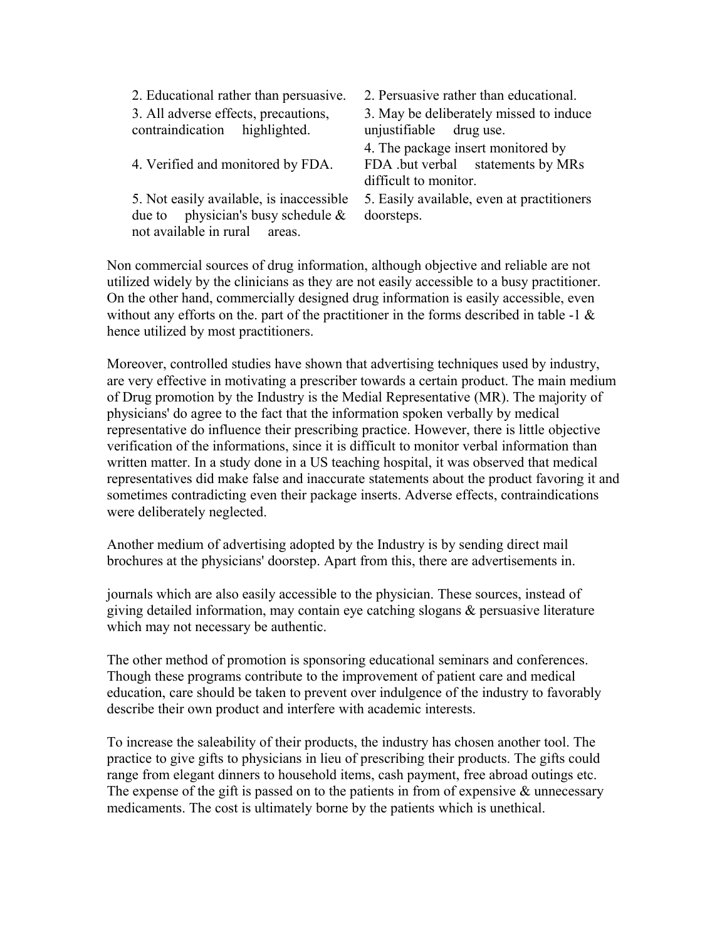2. Educational rather than persuasive. 2. Persuasive rather than educational. 3. All adverse effects, precautions, contraindication highlighted.

4. Verified and monitored by FDA.

5. Not easily available, is inaccessible due to physician's busy schedule  $\&$ not available in rural areas.

3. May be deliberately missed to induce unjustifiable drug use.

4. The package insert monitored by FDA .but verbal statements by MRs difficult to monitor.

5. Easily available, even at practitioners doorsteps.

Non commercial sources of drug information, although objective and reliable are not utilized widely by the clinicians as they are not easily accessible to a busy practitioner. On the other hand, commercially designed drug information is easily accessible, even without any efforts on the, part of the practitioner in the forms described in table -1  $\&$ hence utilized by most practitioners.

Moreover, controlled studies have shown that advertising techniques used by industry, are very effective in motivating a prescriber towards a certain product. The main medium of Drug promotion by the Industry is the Medial Representative (MR). The majority of physicians' do agree to the fact that the information spoken verbally by medical representative do influence their prescribing practice. However, there is little objective verification of the informations, since it is difficult to monitor verbal information than written matter. In a study done in a US teaching hospital, it was observed that medical representatives did make false and inaccurate statements about the product favoring it and sometimes contradicting even their package inserts. Adverse effects, contraindications were deliberately neglected.

Another medium of advertising adopted by the Industry is by sending direct mail brochures at the physicians' doorstep. Apart from this, there are advertisements in.

journals which are also easily accessible to the physician. These sources, instead of giving detailed information, may contain eye catching slogans & persuasive literature which may not necessary be authentic.

The other method of promotion is sponsoring educational seminars and conferences. Though these programs contribute to the improvement of patient care and medical education, care should be taken to prevent over indulgence of the industry to favorably describe their own product and interfere with academic interests.

To increase the saleability of their products, the industry has chosen another tool. The practice to give gifts to physicians in lieu of prescribing their products. The gifts could range from elegant dinners to household items, cash payment, free abroad outings etc. The expense of the gift is passed on to the patients in from of expensive  $\&$  unnecessary medicaments. The cost is ultimately borne by the patients which is unethical.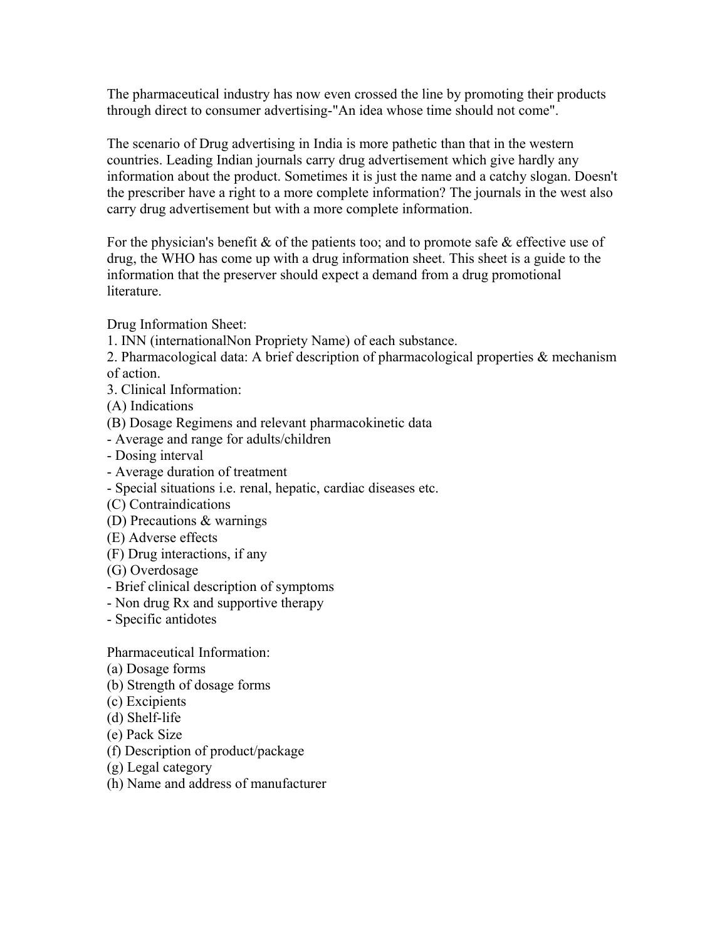The pharmaceutical industry has now even crossed the line by promoting their products through direct to consumer advertising-"An idea whose time should not come".

The scenario of Drug advertising in India is more pathetic than that in the western countries. Leading Indian journals carry drug advertisement which give hardly any information about the product. Sometimes it is just the name and a catchy slogan. Doesn't the prescriber have a right to a more complete information? The journals in the west also carry drug advertisement but with a more complete information.

For the physician's benefit  $\&$  of the patients too; and to promote safe  $\&$  effective use of drug, the WHO has come up with a drug information sheet. This sheet is a guide to the information that the preserver should expect a demand from a drug promotional **literature** 

Drug Information Sheet:

- 1. INN (internationalNon Propriety Name) of each substance.
- 2. Pharmacological data: A brief description of pharmacological properties & mechanism of action.
- 3. Clinical Information:
- (A) Indications
- (B) Dosage Regimens and relevant pharmacokinetic data
- Average and range for adults/children
- Dosing interval
- Average duration of treatment
- Special situations i.e. renal, hepatic, cardiac diseases etc.
- (C) Contraindications
- (D) Precautions & warnings
- (E) Adverse effects
- (F) Drug interactions, if any
- (G) Overdosage
- Brief clinical description of symptoms
- Non drug Rx and supportive therapy
- Specific antidotes

Pharmaceutical Information:

- (a) Dosage forms
- (b) Strength of dosage forms
- (c) Excipients
- (d) Shelf-life
- (e) Pack Size
- (f) Description of product/package
- (g) Legal category
- (h) Name and address of manufacturer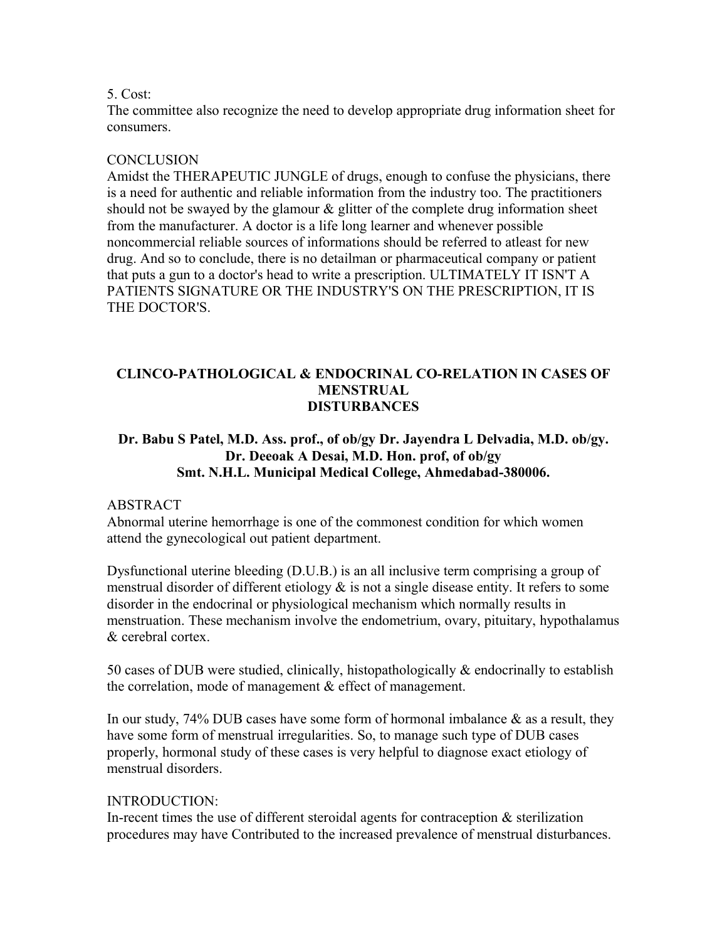#### 5. Cost:

The committee also recognize the need to develop appropriate drug information sheet for consumers.

### **CONCLUSION**

Amidst the THERAPEUTIC JUNGLE of drugs, enough to confuse the physicians, there is a need for authentic and reliable information from the industry too. The practitioners should not be swayed by the glamour  $\&$  glitter of the complete drug information sheet from the manufacturer. A doctor is a life long learner and whenever possible noncommercial reliable sources of informations should be referred to atleast for new drug. And so to conclude, there is no detailman or pharmaceutical company or patient that puts a gun to a doctor's head to write a prescription. ULTIMATELY IT ISN'T A PATIENTS SIGNATURE OR THE INDUSTRY'S ON THE PRESCRIPTION, IT IS THE DOCTOR'S.

#### **CLINCO-PATHOLOGICAL & ENDOCRINAL CO-RELATION IN CASES OF MENSTRUAL DISTURBANCES**

# **Dr. Babu S Patel, M.D. Ass. prof., of ob/gy Dr. Jayendra L Delvadia, M.D. ob/gy. Dr. Deeoak A Desai, M.D. Hon. prof, of ob/gy Smt. N.H.L. Municipal Medical College, Ahmedabad-380006.**

### ABSTRACT

Abnormal uterine hemorrhage is one of the commonest condition for which women attend the gynecological out patient department.

Dysfunctional uterine bleeding (D.U.B.) is an all inclusive term comprising a group of menstrual disorder of different etiology  $\&$  is not a single disease entity. It refers to some disorder in the endocrinal or physiological mechanism which normally results in menstruation. These mechanism involve the endometrium, ovary, pituitary, hypothalamus & cerebral cortex.

50 cases of DUB were studied, clinically, histopathologically & endocrinally to establish the correlation, mode of management & effect of management.

In our study,  $74\%$  DUB cases have some form of hormonal imbalance  $\&$  as a result, they have some form of menstrual irregularities. So, to manage such type of DUB cases properly, hormonal study of these cases is very helpful to diagnose exact etiology of menstrual disorders.

#### INTRODUCTION:

In-recent times the use of different steroidal agents for contraception  $\&$  sterilization procedures may have Contributed to the increased prevalence of menstrual disturbances.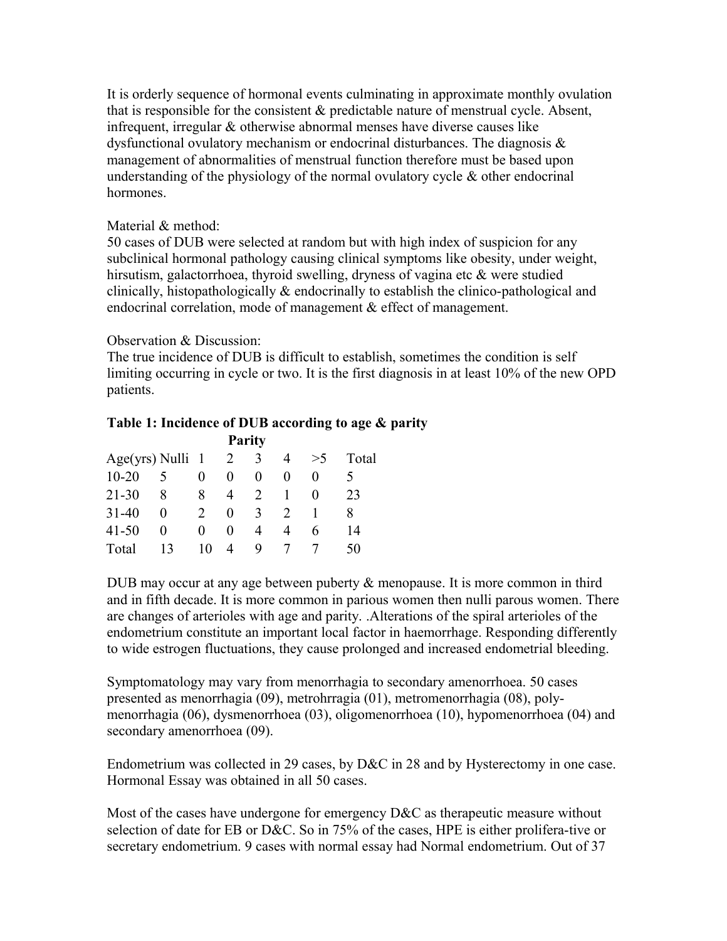It is orderly sequence of hormonal events culminating in approximate monthly ovulation that is responsible for the consistent & predictable nature of menstrual cycle. Absent, infrequent, irregular & otherwise abnormal menses have diverse causes like dysfunctional ovulatory mechanism or endocrinal disturbances. The diagnosis & management of abnormalities of menstrual function therefore must be based upon understanding of the physiology of the normal ovulatory cycle & other endocrinal hormones.

#### Material & method:

50 cases of DUB were selected at random but with high index of suspicion for any subclinical hormonal pathology causing clinical symptoms like obesity, under weight, hirsutism, galactorrhoea, thyroid swelling, dryness of vagina etc & were studied clinically, histopathologically & endocrinally to establish the clinico-pathological and endocrinal correlation, mode of management & effect of management.

### Observation & Discussion:

The true incidence of DUB is difficult to establish, sometimes the condition is self limiting occurring in cycle or two. It is the first diagnosis in at least 10% of the new OPD patients.

### **Table 1: Incidence of DUB according to age & parity**

| <b>Parity</b>      |          |                             |                   |          |               |                   |       |
|--------------------|----------|-----------------------------|-------------------|----------|---------------|-------------------|-------|
| $Age(yrs)$ Nulli 1 |          |                             | 2                 | 3        | 4             | >5                | Total |
| $10 - 20$          | 5        | 0                           | $\mathbf{0}$      | $\theta$ | 0             | 0                 |       |
| $21 - 30$          | 8        | 8                           | 4                 | 2        |               | $\mathbf{\Omega}$ | 23    |
| $31 - 40$          | $\theta$ | $\mathcal{D}_{\mathcal{L}}$ | $\mathbf{\Omega}$ | 3        | $\mathcal{L}$ |                   | 8     |
| $41 - 50$          | $\theta$ | $\mathbf{0}$                | $\mathbf{0}$      | 4        | 4             | 6                 | 14    |
| Total              | 13       | 10                          | 4                 | 9        |               |                   | 50    |

DUB may occur at any age between puberty & menopause. It is more common in third and in fifth decade. It is more common in parious women then nulli parous women. There are changes of arterioles with age and parity. .Alterations of the spiral arterioles of the endometrium constitute an important local factor in haemorrhage. Responding differently to wide estrogen fluctuations, they cause prolonged and increased endometrial bleeding.

Symptomatology may vary from menorrhagia to secondary amenorrhoea. 50 cases presented as menorrhagia (09), metrohrragia (01), metromenorrhagia (08), polymenorrhagia (06), dysmenorrhoea (03), oligomenorrhoea (10), hypomenorrhoea (04) and secondary amenorrhoea (09).

Endometrium was collected in 29 cases, by D&C in 28 and by Hysterectomy in one case. Hormonal Essay was obtained in all 50 cases.

Most of the cases have undergone for emergency D&C as therapeutic measure without selection of date for EB or D&C. So in 75% of the cases, HPE is either prolifera-tive or secretary endometrium. 9 cases with normal essay had Normal endometrium. Out of 37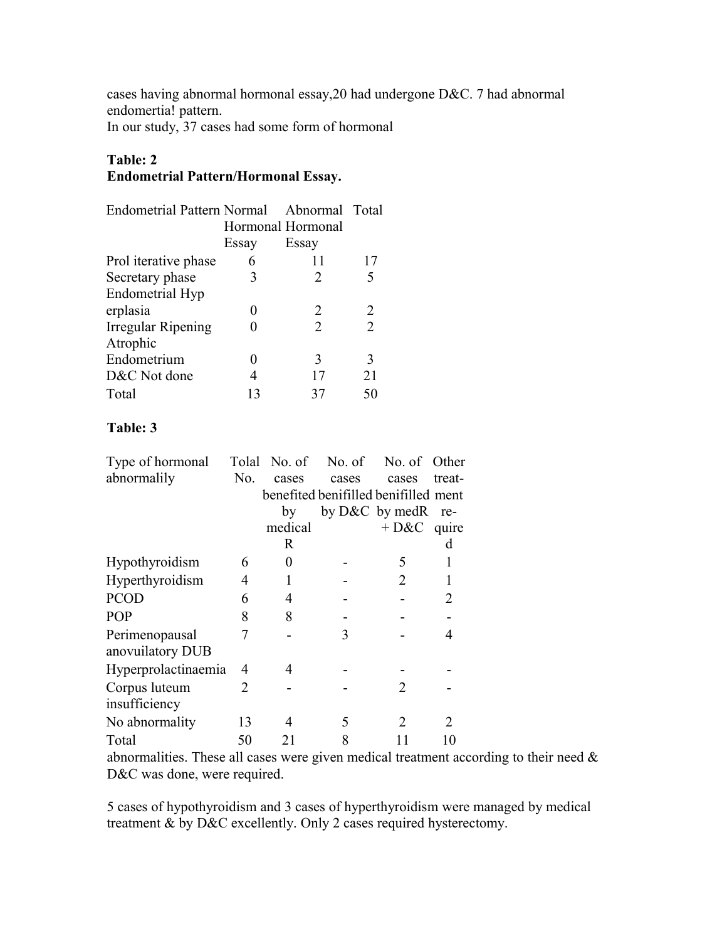cases having abnormal hormonal essay,20 had undergone D&C. 7 had abnormal endomertia! pattern.

In our study, 37 cases had some form of hormonal

# **Table: 2**

# **Endometrial Pattern/Hormonal Essay.**

| <b>Endometrial Pattern Normal</b> |       | Abnormal Total        |    |
|-----------------------------------|-------|-----------------------|----|
|                                   |       | Hormonal Hormonal     |    |
|                                   | Essay | Essay                 |    |
| Prol iterative phase              | 6     | 11                    | 17 |
| Secretary phase                   | 3     | 2                     | 5  |
| Endometrial Hyp                   |       |                       |    |
| erplasia                          | 0     | 2                     | 2  |
| Irregular Ripening                |       | $\mathcal{D}_{\cdot}$ | 2  |
| Atrophic                          |       |                       |    |
| Endometrium                       |       | 3                     | 3  |
| D&C Not done                      | 4     | 17                    | 21 |
| Total                             | 13    | 37                    | 50 |

# **Table: 3**

| Type of hormonal                   |     |         |       | Tolal No. of No. of No. of Other     |                       |
|------------------------------------|-----|---------|-------|--------------------------------------|-----------------------|
| abnormalily                        | No. | cases   | cases | cases                                | treat-                |
|                                    |     |         |       | benefited benifilled benifilled ment |                       |
|                                    |     | by      |       | by $D&C$ by medR                     | re-                   |
|                                    |     | medical |       | $+$ D&C quire                        |                       |
|                                    |     | R       |       |                                      | d                     |
| Hypothyroidism                     | 6   | 0       |       | 5                                    |                       |
| Hyperthyroidism                    | 4   |         |       | 2                                    |                       |
| <b>PCOD</b>                        | 6   | 4       |       |                                      | 2                     |
| <b>POP</b>                         | 8   | 8       |       |                                      |                       |
| Perimenopausal<br>anovuilatory DUB | 7   |         | 3     |                                      | 4                     |
| Hyperprolactinaemia                | 4   | 4       |       |                                      |                       |
| Corpus luteum<br>insufficiency     | 2   |         |       | $\mathcal{D}_{\cdot}$                |                       |
| No abnormality                     | 13  | 4       | 5     | $\mathcal{L}$                        | $\mathcal{D}_{\cdot}$ |
| Total                              | 50  | 21      | 8     |                                      |                       |

abnormalities. These all cases were given medical treatment according to their need & D&C was done, were required.

5 cases of hypothyroidism and 3 cases of hyperthyroidism were managed by medical treatment & by D&C excellently. Only 2 cases required hysterectomy.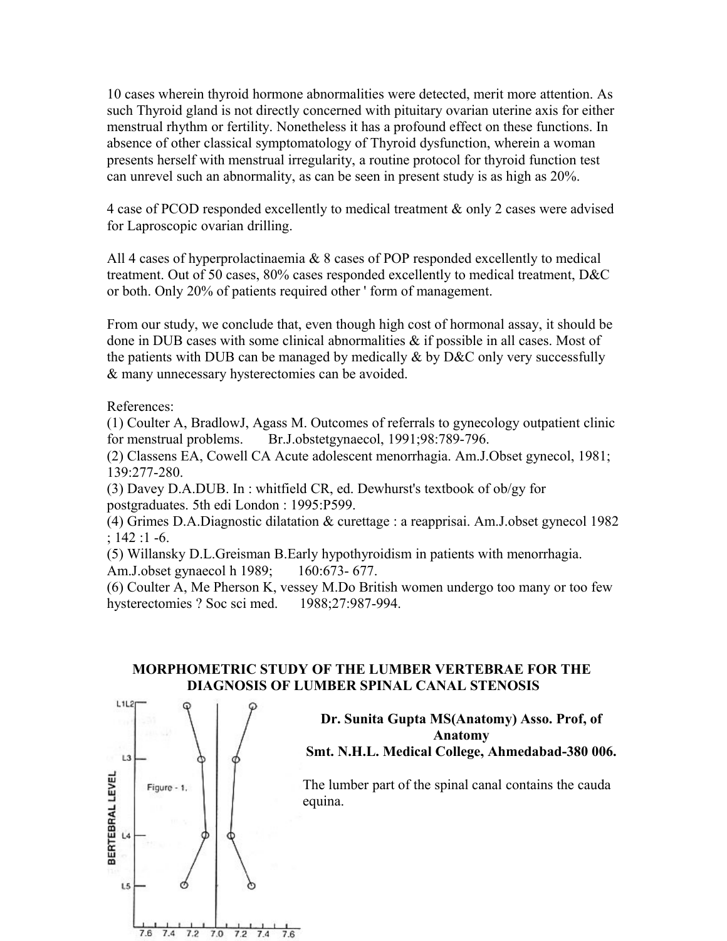10 cases wherein thyroid hormone abnormalities were detected, merit more attention. As such Thyroid gland is not directly concerned with pituitary ovarian uterine axis for either menstrual rhythm or fertility. Nonetheless it has a profound effect on these functions. In absence of other classical symptomatology of Thyroid dysfunction, wherein a woman presents herself with menstrual irregularity, a routine protocol for thyroid function test can unrevel such an abnormality, as can be seen in present study is as high as 20%.

4 case of PCOD responded excellently to medical treatment & only 2 cases were advised for Laproscopic ovarian drilling.

All 4 cases of hyperprolactinaemia & 8 cases of POP responded excellently to medical treatment. Out of 50 cases, 80% cases responded excellently to medical treatment, D&C or both. Only 20% of patients required other ' form of management.

From our study, we conclude that, even though high cost of hormonal assay, it should be done in DUB cases with some clinical abnormalities & if possible in all cases. Most of the patients with DUB can be managed by medically  $\&$  by D&C only very successfully & many unnecessary hysterectomies can be avoided.

References:

(1) Coulter A, BradlowJ, Agass M. Outcomes of referrals to gynecology outpatient clinic for menstrual problems. Br.J.obstetgynaecol, 1991;98:789-796.

(2) Classens EA, Cowell CA Acute adolescent menorrhagia. Am.J.Obset gynecol, 1981; 139:277-280.

(3) Davey D.A.DUB. In : whitfield CR, ed. Dewhurst's textbook of ob/gy for postgraduates. 5th edi London : 1995:P599.

(4) Grimes D.A.Diagnostic dilatation & curettage : a reapprisai. Am.J.obset gynecol 1982 ; 142 :1 -6.

(5) Willansky D.L.Greisman B.Early hypothyroidism in patients with menorrhagia. Am.J.obset gynaecol h 1989; 160:673- 677.

(6) Coulter A, Me Pherson K, vessey M.Do British women undergo too many or too few hysterectomies ? Soc sci med. 1988;27:987-994.

### **MORPHOMETRIC STUDY OF THE LUMBER VERTEBRAE FOR THE DIAGNOSIS OF LUMBER SPINAL CANAL STENOSIS**



### **Dr. Sunita Gupta MS(Anatomy) Asso. Prof, of Anatomy Smt. N.H.L. Medical College, Ahmedabad-380 006.**

The lumber part of the spinal canal contains the cauda equina.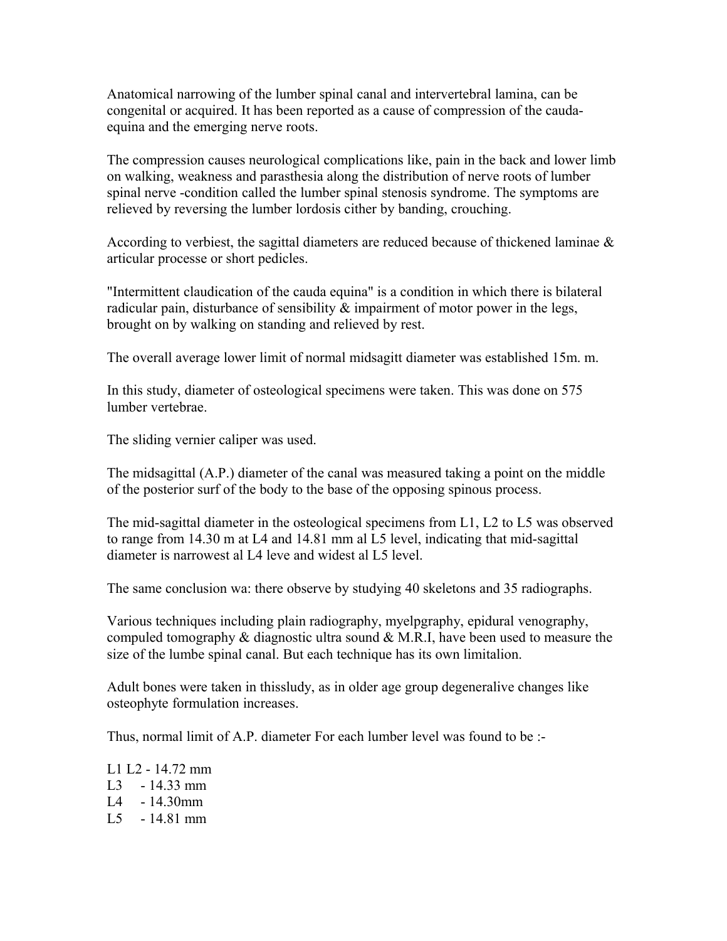Anatomical narrowing of the lumber spinal canal and intervertebral lamina, can be congenital or acquired. It has been reported as a cause of compression of the caudaequina and the emerging nerve roots.

The compression causes neurological complications like, pain in the back and lower limb on walking, weakness and parasthesia along the distribution of nerve roots of lumber spinal nerve -condition called the lumber spinal stenosis syndrome. The symptoms are relieved by reversing the lumber lordosis cither by banding, crouching.

According to verbiest, the sagittal diameters are reduced because of thickened laminae  $\&$ articular processe or short pedicles.

"Intermittent claudication of the cauda equina" is a condition in which there is bilateral radicular pain, disturbance of sensibility & impairment of motor power in the legs, brought on by walking on standing and relieved by rest.

The overall average lower limit of normal midsagitt diameter was established 15m. m.

In this study, diameter of osteological specimens were taken. This was done on 575 lumber vertebrae.

The sliding vernier caliper was used.

The midsagittal (A.P.) diameter of the canal was measured taking a point on the middle of the posterior surf of the body to the base of the opposing spinous process.

The mid-sagittal diameter in the osteological specimens from L1, L2 to L5 was observed to range from 14.30 m at L4 and 14.81 mm al L5 level, indicating that mid-sagittal diameter is narrowest al L4 leve and widest al L5 level.

The same conclusion wa: there observe by studying 40 skeletons and 35 radiographs.

Various techniques including plain radiography, myelpgraphy, epidural venography, compuled tomography  $\&$  diagnostic ultra sound  $\&$  M.R.I, have been used to measure the size of the lumbe spinal canal. But each technique has its own limitalion.

Adult bones were taken in thissludy, as in older age group degeneralive changes like osteophyte formulation increases.

Thus, normal limit of A.P. diameter For each lumber level was found to be :-

L1 L2 - 14.72 mm L3 - 14.33 mm L4 - 14.30mm L5 - 14.81 mm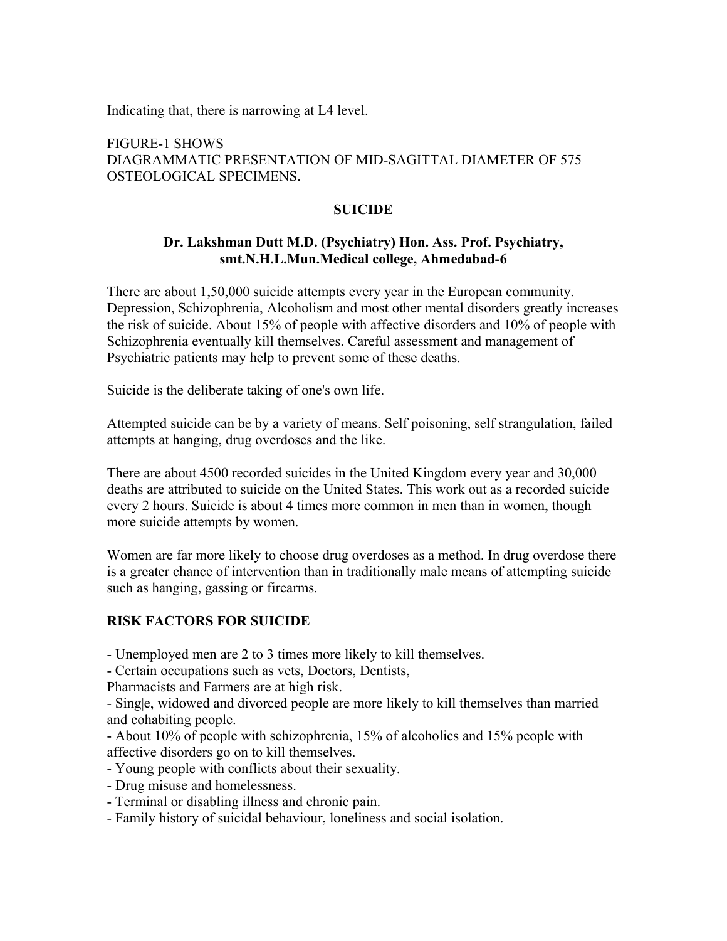Indicating that, there is narrowing at L4 level.

FIGURE-1 SHOWS DIAGRAMMATIC PRESENTATION OF MID-SAGITTAL DIAMETER OF 575 OSTEOLOGICAL SPECIMENS.

### **SUICIDE**

### **Dr. Lakshman Dutt M.D. (Psychiatry) Hon. Ass. Prof. Psychiatry, smt.N.H.L.Mun.Medical college, Ahmedabad-6**

There are about 1,50,000 suicide attempts every year in the European community. Depression, Schizophrenia, Alcoholism and most other mental disorders greatly increases the risk of suicide. About 15% of people with affective disorders and 10% of people with Schizophrenia eventually kill themselves. Careful assessment and management of Psychiatric patients may help to prevent some of these deaths.

Suicide is the deliberate taking of one's own life.

Attempted suicide can be by a variety of means. Self poisoning, self strangulation, failed attempts at hanging, drug overdoses and the like.

There are about 4500 recorded suicides in the United Kingdom every year and 30,000 deaths are attributed to suicide on the United States. This work out as a recorded suicide every 2 hours. Suicide is about 4 times more common in men than in women, though more suicide attempts by women.

Women are far more likely to choose drug overdoses as a method. In drug overdose there is a greater chance of intervention than in traditionally male means of attempting suicide such as hanging, gassing or firearms.

### **RISK FACTORS FOR SUICIDE**

- Unemployed men are 2 to 3 times more likely to kill themselves.

- Certain occupations such as vets, Doctors, Dentists,

Pharmacists and Farmers are at high risk.

- Sing|e, widowed and divorced people are more likely to kill themselves than married and cohabiting people.

- About 10% of people with schizophrenia, 15% of alcoholics and 15% people with affective disorders go on to kill themselves.

- Young people with conflicts about their sexuality.
- Drug misuse and homelessness.
- Terminal or disabling illness and chronic pain.
- Family history of suicidal behaviour, loneliness and social isolation.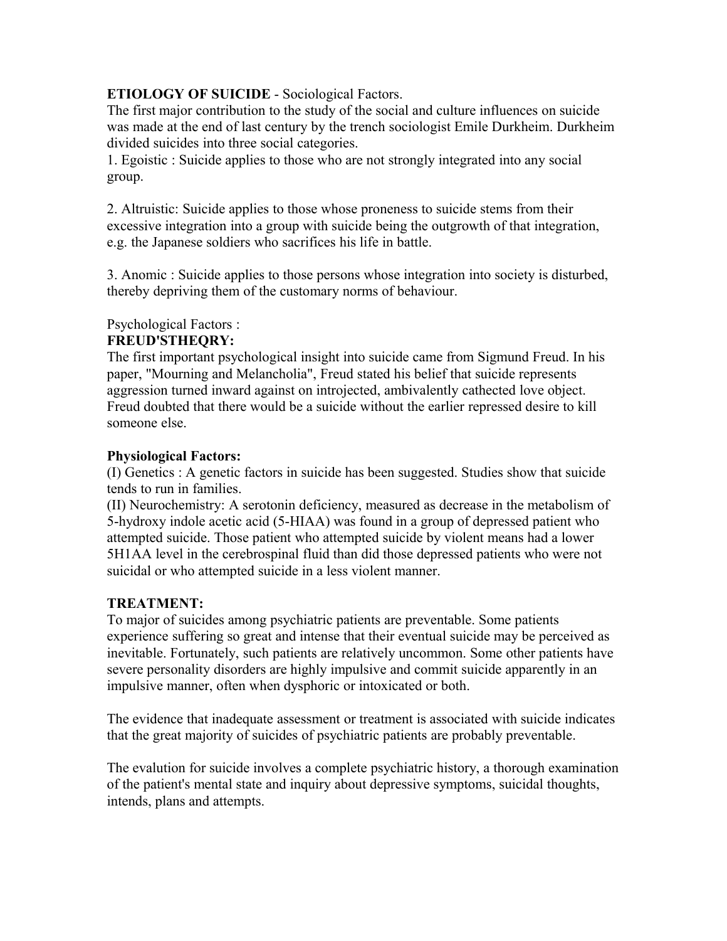# **ETIOLOGY OF SUICIDE** - Sociological Factors.

The first major contribution to the study of the social and culture influences on suicide was made at the end of last century by the trench sociologist Emile Durkheim. Durkheim divided suicides into three social categories.

1. Egoistic : Suicide applies to those who are not strongly integrated into any social group.

2. Altruistic: Suicide applies to those whose proneness to suicide stems from their excessive integration into a group with suicide being the outgrowth of that integration, e.g. the Japanese soldiers who sacrifices his life in battle.

3. Anomic : Suicide applies to those persons whose integration into society is disturbed, thereby depriving them of the customary norms of behaviour.

Psychological Factors :

### **FREUD'STHEQRY:**

The first important psychological insight into suicide came from Sigmund Freud. In his paper, "Mourning and Melancholia", Freud stated his belief that suicide represents aggression turned inward against on introjected, ambivalently cathected love object. Freud doubted that there would be a suicide without the earlier repressed desire to kill someone else.

### **Physiological Factors:**

(I) Genetics : A genetic factors in suicide has been suggested. Studies show that suicide tends to run in families.

(II) Neurochemistry: A serotonin deficiency, measured as decrease in the metabolism of 5-hydroxy indole acetic acid (5-HIAA) was found in a group of depressed patient who attempted suicide. Those patient who attempted suicide by violent means had a lower 5H1AA level in the cerebrospinal fluid than did those depressed patients who were not suicidal or who attempted suicide in a less violent manner.

### **TREATMENT:**

To major of suicides among psychiatric patients are preventable. Some patients experience suffering so great and intense that their eventual suicide may be perceived as inevitable. Fortunately, such patients are relatively uncommon. Some other patients have severe personality disorders are highly impulsive and commit suicide apparently in an impulsive manner, often when dysphoric or intoxicated or both.

The evidence that inadequate assessment or treatment is associated with suicide indicates that the great majority of suicides of psychiatric patients are probably preventable.

The evalution for suicide involves a complete psychiatric history, a thorough examination of the patient's mental state and inquiry about depressive symptoms, suicidal thoughts, intends, plans and attempts.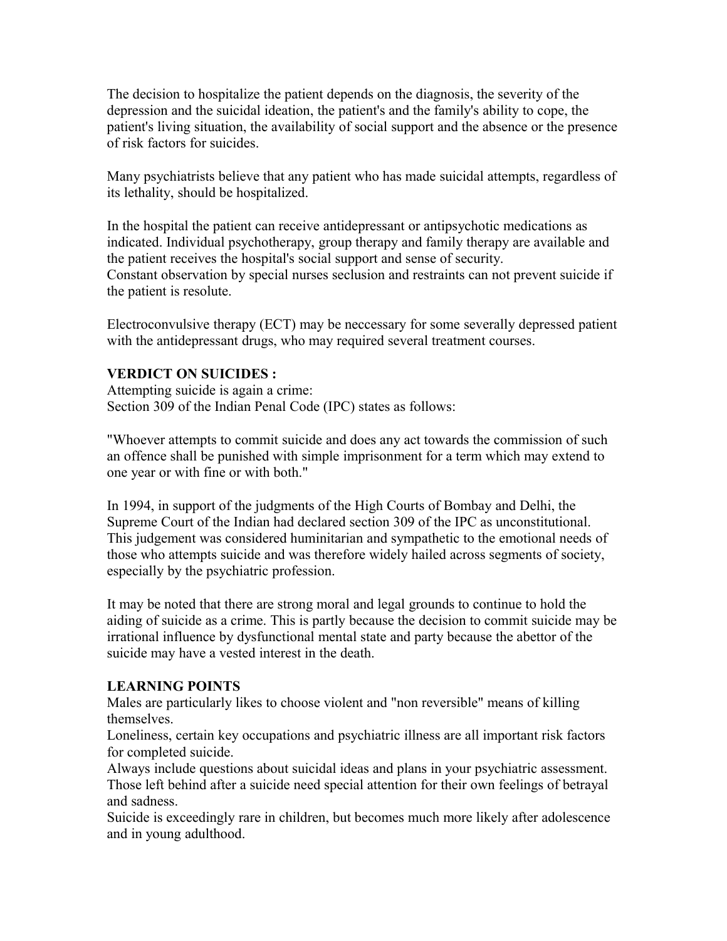The decision to hospitalize the patient depends on the diagnosis, the severity of the depression and the suicidal ideation, the patient's and the family's ability to cope, the patient's living situation, the availability of social support and the absence or the presence of risk factors for suicides.

Many psychiatrists believe that any patient who has made suicidal attempts, regardless of its lethality, should be hospitalized.

In the hospital the patient can receive antidepressant or antipsychotic medications as indicated. Individual psychotherapy, group therapy and family therapy are available and the patient receives the hospital's social support and sense of security. Constant observation by special nurses seclusion and restraints can not prevent suicide if the patient is resolute.

Electroconvulsive therapy (ECT) may be neccessary for some severally depressed patient with the antidepressant drugs, who may required several treatment courses.

### **VERDICT ON SUICIDES :**

Attempting suicide is again a crime: Section 309 of the Indian Penal Code (IPC) states as follows:

"Whoever attempts to commit suicide and does any act towards the commission of such an offence shall be punished with simple imprisonment for a term which may extend to one year or with fine or with both."

In 1994, in support of the judgments of the High Courts of Bombay and Delhi, the Supreme Court of the Indian had declared section 309 of the IPC as unconstitutional. This judgement was considered huminitarian and sympathetic to the emotional needs of those who attempts suicide and was therefore widely hailed across segments of society, especially by the psychiatric profession.

It may be noted that there are strong moral and legal grounds to continue to hold the aiding of suicide as a crime. This is partly because the decision to commit suicide may be irrational influence by dysfunctional mental state and party because the abettor of the suicide may have a vested interest in the death.

### **LEARNING POINTS**

Males are particularly likes to choose violent and "non reversible" means of killing themselves.

Loneliness, certain key occupations and psychiatric illness are all important risk factors for completed suicide.

Always include questions about suicidal ideas and plans in your psychiatric assessment. Those left behind after a suicide need special attention for their own feelings of betrayal and sadness.

Suicide is exceedingly rare in children, but becomes much more likely after adolescence and in young adulthood.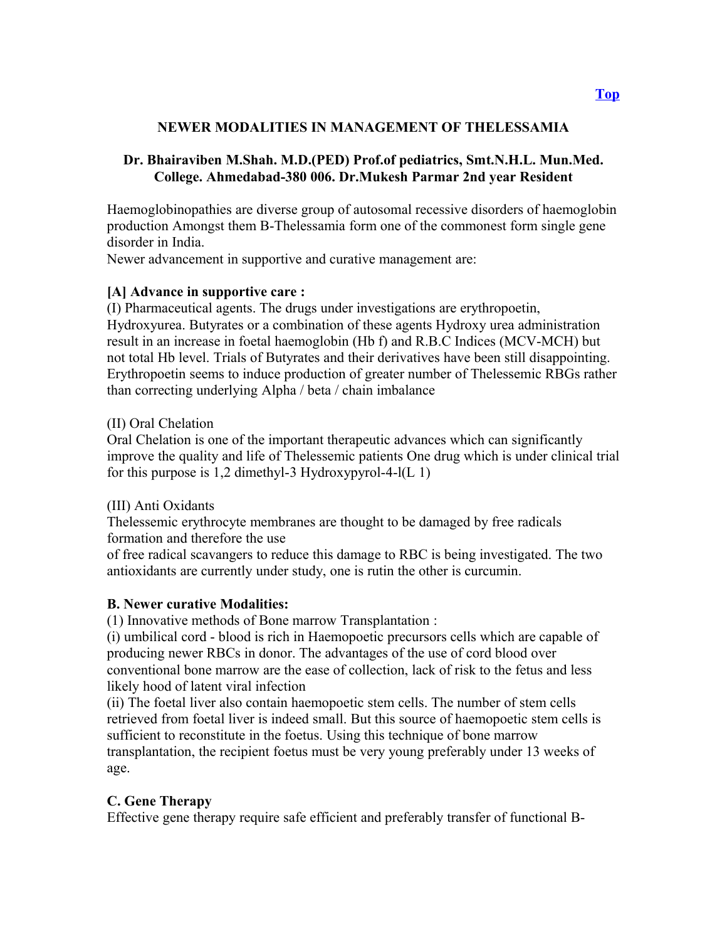### **NEWER MODALITIES IN MANAGEMENT OF THELESSAMIA**

### **Dr. Bhairaviben M.Shah. M.D.(PED) Prof.of pediatrics, Smt.N.H.L. Mun.Med. College. Ahmedabad-380 006. Dr.Mukesh Parmar 2nd year Resident**

Haemoglobinopathies are diverse group of autosomal recessive disorders of haemoglobin production Amongst them B-Thelessamia form one of the commonest form single gene disorder in India.

Newer advancement in supportive and curative management are:

### **[A] Advance in supportive care :**

(I) Pharmaceutical agents. The drugs under investigations are erythropoetin, Hydroxyurea. Butyrates or a combination of these agents Hydroxy urea administration result in an increase in foetal haemoglobin (Hb f) and R.B.C Indices (MCV-MCH) but not total Hb level. Trials of Butyrates and their derivatives have been still disappointing. Erythropoetin seems to induce production of greater number of Thelessemic RBGs rather than correcting underlying Alpha / beta / chain imbalance

#### (II) Oral Chelation

Oral Chelation is one of the important therapeutic advances which can significantly improve the quality and life of Thelessemic patients One drug which is under clinical trial for this purpose is 1,2 dimethyl-3 Hydroxypyrol-4- $I(L 1)$ 

#### (III) Anti Oxidants

Thelessemic erythrocyte membranes are thought to be damaged by free radicals formation and therefore the use

of free radical scavangers to reduce this damage to RBC is being investigated. The two antioxidants are currently under study, one is rutin the other is curcumin.

### **B. Newer curative Modalities:**

(1) Innovative methods of Bone marrow Transplantation :

(i) umbilical cord - blood is rich in Haemopoetic precursors cells which are capable of producing newer RBCs in donor. The advantages of the use of cord blood over conventional bone marrow are the ease of collection, lack of risk to the fetus and less likely hood of latent viral infection

(ii) The foetal liver also contain haemopoetic stem cells. The number of stem cells retrieved from foetal liver is indeed small. But this source of haemopoetic stem cells is sufficient to reconstitute in the foetus. Using this technique of bone marrow transplantation, the recipient foetus must be very young preferably under 13 weeks of age.

### **C. Gene Therapy**

Effective gene therapy require safe efficient and preferably transfer of functional B-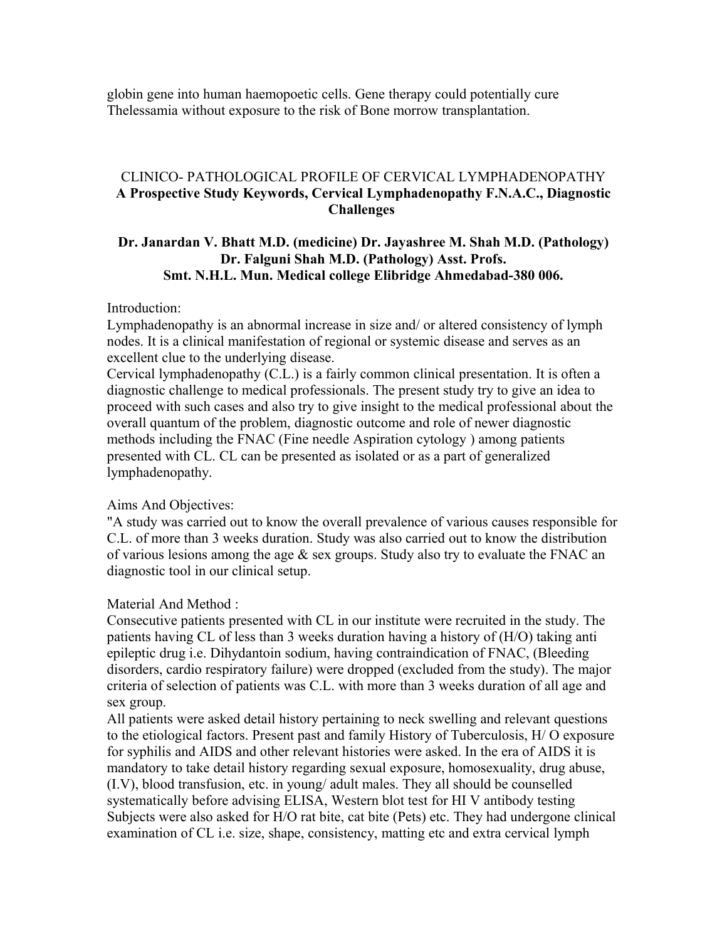globin gene into human haemopoetic cells. Gene therapy could potentially cure Thelessamia without exposure to the risk of Bone morrow transplantation.

### CLINICO- PATHOLOGICAL PROFILE OF CERVICAL LYMPHADENOPATHY **A Prospective Study Keywords, Cervical Lymphadenopathy F.N.A.C., Diagnostic Challenges**

### **Dr. Janardan V. Bhatt M.D. (medicine) Dr. Jayashree M. Shah M.D. (Pathology) Dr. Falguni Shah M.D. (Pathology) Asst. Profs. Smt. N.H.L. Mun. Medical college Elibridge Ahmedabad-380 006.**

Introduction:

Lymphadenopathy is an abnormal increase in size and/ or altered consistency of lymph nodes. It is a clinical manifestation of regional or systemic disease and serves as an excellent clue to the underlying disease.

Cervical lymphadenopathy (C.L.) is a fairly common clinical presentation. It is often a diagnostic challenge to medical professionals. The present study try to give an idea to proceed with such cases and also try to give insight to the medical professional about the overall quantum of the problem, diagnostic outcome and role of newer diagnostic methods including the FNAC (Fine needle Aspiration cytology ) among patients presented with CL. CL can be presented as isolated or as a part of generalized lymphadenopathy.

#### Aims And Objectives:

"A study was carried out to know the overall prevalence of various causes responsible for C.L. of more than 3 weeks duration. Study was also carried out to know the distribution of various lesions among the age  $\&$  sex groups. Study also try to evaluate the FNAC an diagnostic tool in our clinical setup.

Material And Method :

Consecutive patients presented with CL in our institute were recruited in the study. The patients having CL of less than 3 weeks duration having a history of (H/O) taking anti epileptic drug i.e. Dihydantoin sodium, having contraindication of FNAC, (Bleeding disorders, cardio respiratory failure) were dropped (excluded from the study). The major criteria of selection of patients was C.L. with more than 3 weeks duration of all age and sex group.

All patients were asked detail history pertaining to neck swelling and relevant questions to the etiological factors. Present past and family History of Tuberculosis, H/ O exposure for syphilis and AIDS and other relevant histories were asked. In the era of AIDS it is mandatory to take detail history regarding sexual exposure, homosexuality, drug abuse, (I.V), blood transfusion, etc. in young/ adult males. They all should be counselled systematically before advising ELISA, Western blot test for HI V antibody testing Subjects were also asked for H/O rat bite, cat bite (Pets) etc. They had undergone clinical examination of CL i.e. size, shape, consistency, matting etc and extra cervical lymph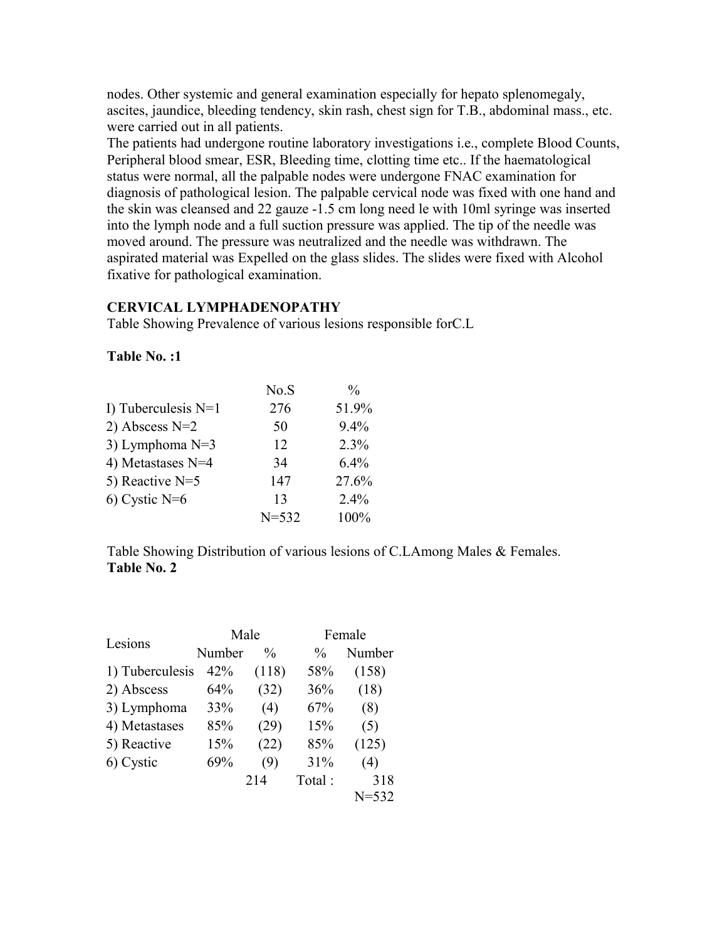nodes. Other systemic and general examination especially for hepato splenomegaly, ascites, jaundice, bleeding tendency, skin rash, chest sign for T.B., abdominal mass., etc. were carried out in all patients.

The patients had undergone routine laboratory investigations i.e., complete Blood Counts, Peripheral blood smear, ESR, Bleeding time, clotting time etc.. If the haematological status were normal, all the palpable nodes were undergone FNAC examination for diagnosis of pathological lesion. The palpable cervical node was fixed with one hand and the skin was cleansed and 22 gauze -1.5 cm long need le with 10ml syringe was inserted into the lymph node and a full suction pressure was applied. The tip of the needle was moved around. The pressure was neutralized and the needle was withdrawn. The aspirated material was Expelled on the glass slides. The slides were fixed with Alcohol fixative for pathological examination.

### **CERVICAL LYMPHADENOPATHY**

Table Showing Prevalence of various lesions responsible forC.L

#### **Table No. :1**

|                       | No.S      | $\frac{0}{0}$ |
|-----------------------|-----------|---------------|
| I) Tuberculesis $N=1$ | 276       | 51.9%         |
| 2) Abscess $N=2$      | 50        | $9.4\%$       |
| 3) Lymphoma $N=3$     | 12        | 2.3%          |
| 4) Metastases N=4     | 34        | $6.4\%$       |
| 5) Reactive $N=5$     | 147       | 27.6%         |
| $6)$ Cystic N= $6$    | 13        | $2.4\%$       |
|                       | $N = 532$ | 100%          |

Table Showing Distribution of various lesions of C.LAmong Males & Females. **Table No. 2**

| Lesions         |        | Male          | Female |           |  |
|-----------------|--------|---------------|--------|-----------|--|
|                 | Number | $\frac{0}{0}$ | $\%$   | Number    |  |
| 1) Tuberculesis | 42%    | (118)         | 58%    | (158)     |  |
| 2) Abscess      | 64%    | (32)          | 36%    | (18)      |  |
| 3) Lymphoma     | 33%    | (4)           | 67%    | (8)       |  |
| 4) Metastases   | 85%    | (29)          | 15%    | (5)       |  |
| 5) Reactive     | 15%    | (22)          | 85%    | (125)     |  |
| 6) Cystic       | 69%    | (9)           | 31%    | (4)       |  |
|                 |        | 214           | Total: | 318       |  |
|                 |        |               |        | $N = 532$ |  |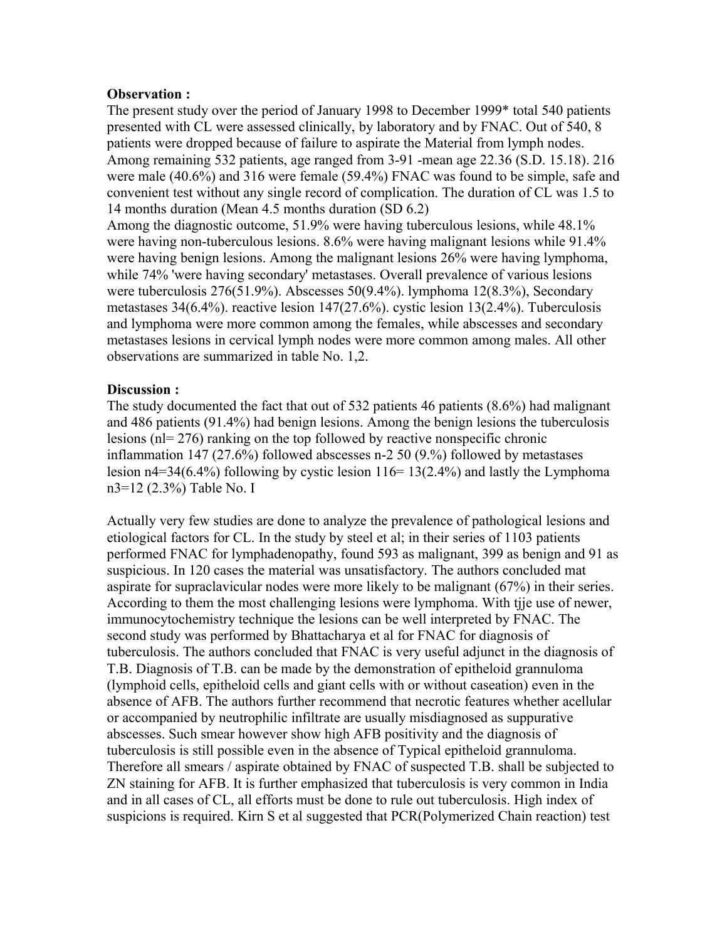#### **Observation :**

The present study over the period of January 1998 to December 1999\* total 540 patients presented with CL were assessed clinically, by laboratory and by FNAC. Out of 540, 8 patients were dropped because of failure to aspirate the Material from lymph nodes. Among remaining 532 patients, age ranged from 3-91 -mean age 22.36 (S.D. 15.18). 216 were male (40.6%) and 316 were female (59.4%) FNAC was found to be simple, safe and convenient test without any single record of complication. The duration of CL was 1.5 to 14 months duration (Mean 4.5 months duration (SD 6.2)

Among the diagnostic outcome, 51.9% were having tuberculous lesions, while 48.1% were having non-tuberculous lesions. 8.6% were having malignant lesions while 91.4% were having benign lesions. Among the malignant lesions 26% were having lymphoma, while 74% 'were having secondary' metastases. Overall prevalence of various lesions were tuberculosis 276(51.9%). Abscesses 50(9.4%). lymphoma 12(8.3%), Secondary metastases 34(6.4%). reactive lesion 147(27.6%). cystic lesion 13(2.4%). Tuberculosis and lymphoma were more common among the females, while abscesses and secondary metastases lesions in cervical lymph nodes were more common among males. All other observations are summarized in table No. 1,2.

### **Discussion :**

The study documented the fact that out of 532 patients 46 patients (8.6%) had malignant and 486 patients (91.4%) had benign lesions. Among the benign lesions the tuberculosis lesions (nl= 276) ranking on the top followed by reactive nonspecific chronic inflammation 147 (27.6%) followed abscesses n-2 50 (9.%) followed by metastases lesion  $n4=34(6.4\%)$  following by cystic lesion  $116=13(2.4\%)$  and lastly the Lymphoma n3=12 (2.3%) Table No. I

Actually very few studies are done to analyze the prevalence of pathological lesions and etiological factors for CL. In the study by steel et al; in their series of 1103 patients performed FNAC for lymphadenopathy, found 593 as malignant, 399 as benign and 91 as suspicious. In 120 cases the material was unsatisfactory. The authors concluded mat aspirate for supraclavicular nodes were more likely to be malignant (67%) in their series. According to them the most challenging lesions were lymphoma. With tjje use of newer, immunocytochemistry technique the lesions can be well interpreted by FNAC. The second study was performed by Bhattacharya et al for FNAC for diagnosis of tuberculosis. The authors concluded that FNAC is very useful adjunct in the diagnosis of T.B. Diagnosis of T.B. can be made by the demonstration of epitheloid grannuloma (lymphoid cells, epitheloid cells and giant cells with or without caseation) even in the absence of AFB. The authors further recommend that necrotic features whether acellular or accompanied by neutrophilic infiltrate are usually misdiagnosed as suppurative abscesses. Such smear however show high AFB positivity and the diagnosis of tuberculosis is still possible even in the absence of Typical epitheloid grannuloma. Therefore all smears / aspirate obtained by FNAC of suspected T.B. shall be subjected to ZN staining for AFB. It is further emphasized that tuberculosis is very common in India and in all cases of CL, all efforts must be done to rule out tuberculosis. High index of suspicions is required. Kirn S et al suggested that PCR(Polymerized Chain reaction) test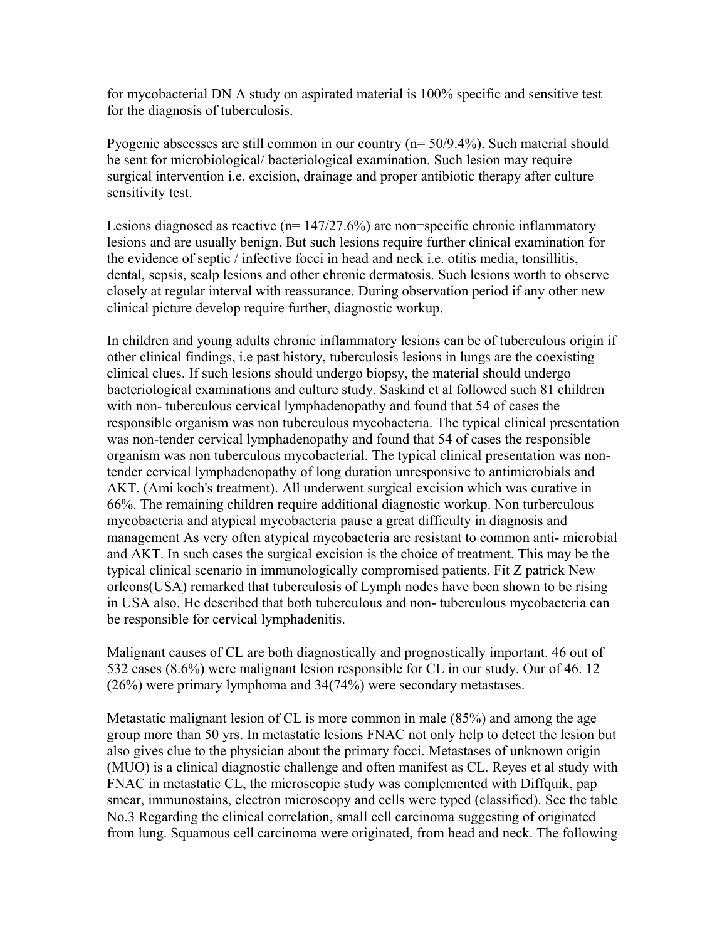for mycobacterial DN A study on aspirated material is 100% specific and sensitive test for the diagnosis of tuberculosis.

Pyogenic abscesses are still common in our country (n= 50/9.4%). Such material should be sent for microbiological/ bacteriological examination. Such lesion may require surgical intervention i.e. excision, drainage and proper antibiotic therapy after culture sensitivity test.

Lesions diagnosed as reactive ( $n= 147/27.6\%$ ) are non-specific chronic inflammatory lesions and are usually benign. But such lesions require further clinical examination for the evidence of septic / infective focci in head and neck i.e. otitis media, tonsillitis, dental, sepsis, scalp lesions and other chronic dermatosis. Such lesions worth to observe closely at regular interval with reassurance. During observation period if any other new clinical picture develop require further, diagnostic workup.

In children and young adults chronic inflammatory lesions can be of tuberculous origin if other clinical findings, i.e past history, tuberculosis lesions in lungs are the coexisting clinical clues. If such lesions should undergo biopsy, the material should undergo bacteriological examinations and culture study. Saskind et al followed such 81 children with non- tuberculous cervical lymphadenopathy and found that 54 of cases the responsible organism was non tuberculous mycobacteria. The typical clinical presentation was non-tender cervical lymphadenopathy and found that 54 of cases the responsible organism was non tuberculous mycobacterial. The typical clinical presentation was nontender cervical lymphadenopathy of long duration unresponsive to antimicrobials and AKT. (Ami koch's treatment). All underwent surgical excision which was curative in 66%. The remaining children require additional diagnostic workup. Non turberculous mycobacteria and atypical mycobacteria pause a great difficulty in diagnosis and management As very often atypical mycobacteria are resistant to common anti- microbial and AKT. In such cases the surgical excision is the choice of treatment. This may be the typical clinical scenario in immunologically compromised patients. Fit Z patrick New orleons(USA) remarked that tuberculosis of Lymph nodes have been shown to be rising in USA also. He described that both tuberculous and non- tuberculous mycobacteria can be responsible for cervical lymphadenitis.

Malignant causes of CL are both diagnostically and prognostically important. 46 out of 532 cases (8.6%) were malignant lesion responsible for CL in our study. Our of 46. 12 (26%) were primary lymphoma and 34(74%) were secondary metastases.

Metastatic malignant lesion of CL is more common in male (85%) and among the age group more than 50 yrs. In metastatic lesions FNAC not only help to detect the lesion but also gives clue to the physician about the primary focci. Metastases of unknown origin (MUO) is a clinical diagnostic challenge and often manifest as CL. Reyes et al study with FNAC in metastatic CL, the microscopic study was complemented with Diffquik, pap smear, immunostains, electron microscopy and cells were typed (classified). See the table No.3 Regarding the clinical correlation, small cell carcinoma suggesting of originated from lung. Squamous cell carcinoma were originated, from head and neck. The following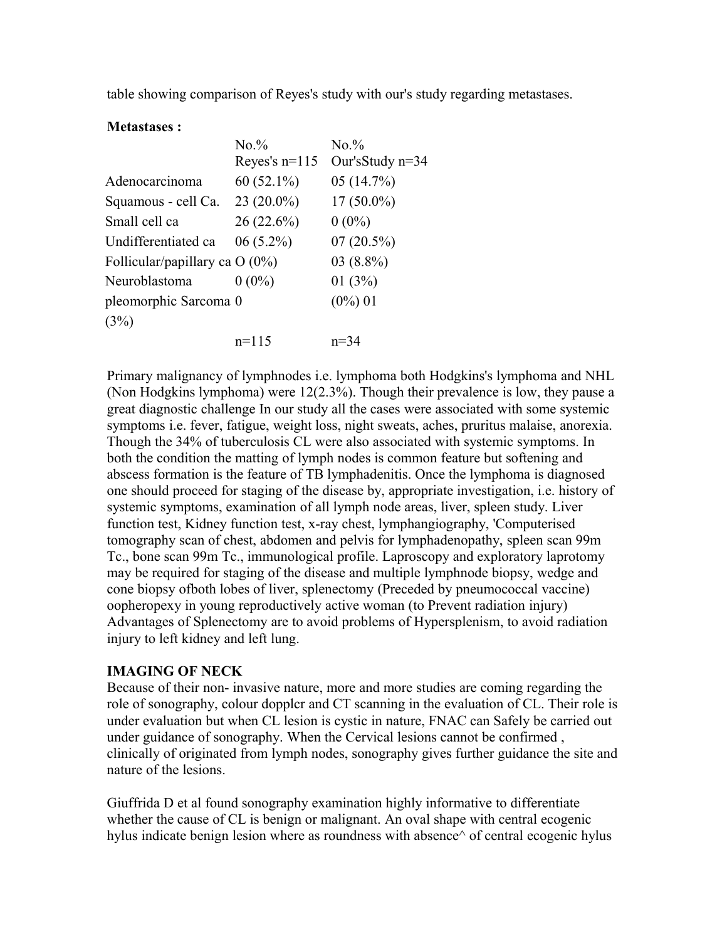table showing comparison of Reyes's study with our's study regarding metastases.

#### **Metastases :**

|                                  | No.%            | No.%               |
|----------------------------------|-----------------|--------------------|
|                                  | Reves's $n=115$ | Our's Study $n=34$ |
| Adenocarcinoma                   | $60(52.1\%)$    | 05(14.7%)          |
| Squamous - cell Ca.              | $23(20.0\%)$    | $17(50.0\%)$       |
| Small cell ca                    | 26 (22.6%)      | $0(0\%)$           |
| Undifferentiated ca              | $06(5.2\%)$     | $07(20.5\%)$       |
| Follicular/papillary ca $O(0\%)$ |                 | $03(8.8\%)$        |
| Neuroblastoma                    | $0(0\%)$        | 01(3%)             |
| pleomorphic Sarcoma 0            |                 | $(0\%) 01$         |
| (3%)                             |                 |                    |
|                                  | $n=115$         | $n = 34$           |

Primary malignancy of lymphnodes i.e. lymphoma both Hodgkins's lymphoma and NHL (Non Hodgkins lymphoma) were 12(2.3%). Though their prevalence is low, they pause a great diagnostic challenge In our study all the cases were associated with some systemic symptoms i.e. fever, fatigue, weight loss, night sweats, aches, pruritus malaise, anorexia. Though the 34% of tuberculosis CL were also associated with systemic symptoms. In both the condition the matting of lymph nodes is common feature but softening and abscess formation is the feature of TB lymphadenitis. Once the lymphoma is diagnosed one should proceed for staging of the disease by, appropriate investigation, i.e. history of systemic symptoms, examination of all lymph node areas, liver, spleen study. Liver function test, Kidney function test, x-ray chest, lymphangiography, 'Computerised tomography scan of chest, abdomen and pelvis for lymphadenopathy, spleen scan 99m Tc., bone scan 99m Tc., immunological profile. Laproscopy and exploratory laprotomy may be required for staging of the disease and multiple lymphnode biopsy, wedge and cone biopsy ofboth lobes of liver, splenectomy (Preceded by pneumococcal vaccine) oopheropexy in young reproductively active woman (to Prevent radiation injury) Advantages of Splenectomy are to avoid problems of Hypersplenism, to avoid radiation injury to left kidney and left lung.

#### **IMAGING OF NECK**

Because of their non- invasive nature, more and more studies are coming regarding the role of sonography, colour dopplcr and CT scanning in the evaluation of CL. Their role is under evaluation but when CL lesion is cystic in nature, FNAC can Safely be carried out under guidance of sonography. When the Cervical lesions cannot be confirmed , clinically of originated from lymph nodes, sonography gives further guidance the site and nature of the lesions.

Giuffrida D et al found sonography examination highly informative to differentiate whether the cause of CL is benign or malignant. An oval shape with central ecogenic hylus indicate benign lesion where as roundness with absence<sup> $\wedge$ </sup> of central ecogenic hylus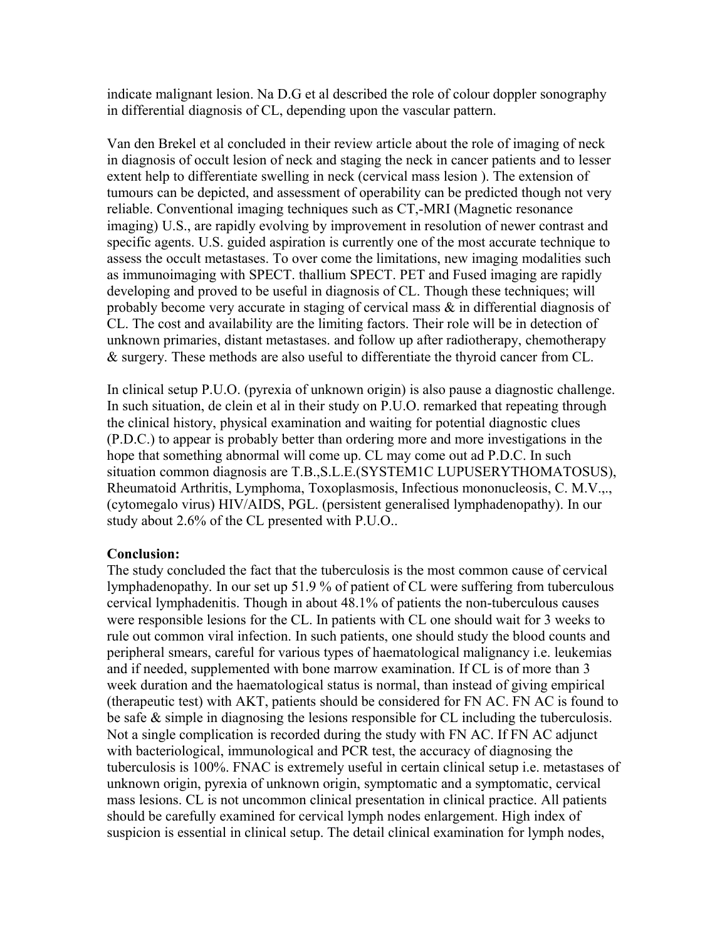indicate malignant lesion. Na D.G et al described the role of colour doppler sonography in differential diagnosis of CL, depending upon the vascular pattern.

Van den Brekel et al concluded in their review article about the role of imaging of neck in diagnosis of occult lesion of neck and staging the neck in cancer patients and to lesser extent help to differentiate swelling in neck (cervical mass lesion ). The extension of tumours can be depicted, and assessment of operability can be predicted though not very reliable. Conventional imaging techniques such as CT,-MRI (Magnetic resonance imaging) U.S., are rapidly evolving by improvement in resolution of newer contrast and specific agents. U.S. guided aspiration is currently one of the most accurate technique to assess the occult metastases. To over come the limitations, new imaging modalities such as immunoimaging with SPECT. thallium SPECT. PET and Fused imaging are rapidly developing and proved to be useful in diagnosis of CL. Though these techniques; will probably become very accurate in staging of cervical mass & in differential diagnosis of CL. The cost and availability are the limiting factors. Their role will be in detection of unknown primaries, distant metastases. and follow up after radiotherapy, chemotherapy & surgery. These methods are also useful to differentiate the thyroid cancer from CL.

In clinical setup P.U.O. (pyrexia of unknown origin) is also pause a diagnostic challenge. In such situation, de clein et al in their study on P.U.O. remarked that repeating through the clinical history, physical examination and waiting for potential diagnostic clues (P.D.C.) to appear is probably better than ordering more and more investigations in the hope that something abnormal will come up. CL may come out ad P.D.C. In such situation common diagnosis are T.B.,S.L.E.(SYSTEM1C LUPUSERYTHOMATOSUS), Rheumatoid Arthritis, Lymphoma, Toxoplasmosis, Infectious mononucleosis, C. M.V.,., (cytomegalo virus) HIV/AIDS, PGL. (persistent generalised lymphadenopathy). In our study about 2.6% of the CL presented with P.U.O..

#### **Conclusion:**

The study concluded the fact that the tuberculosis is the most common cause of cervical lymphadenopathy. In our set up 51.9 % of patient of CL were suffering from tuberculous cervical lymphadenitis. Though in about 48.1% of patients the non-tuberculous causes were responsible lesions for the CL. In patients with CL one should wait for 3 weeks to rule out common viral infection. In such patients, one should study the blood counts and peripheral smears, careful for various types of haematological malignancy i.e. leukemias and if needed, supplemented with bone marrow examination. If CL is of more than 3 week duration and the haematological status is normal, than instead of giving empirical (therapeutic test) with AKT, patients should be considered for FN AC. FN AC is found to be safe & simple in diagnosing the lesions responsible for CL including the tuberculosis. Not a single complication is recorded during the study with FN AC. If FN AC adjunct with bacteriological, immunological and PCR test, the accuracy of diagnosing the tuberculosis is 100%. FNAC is extremely useful in certain clinical setup i.e. metastases of unknown origin, pyrexia of unknown origin, symptomatic and a symptomatic, cervical mass lesions. CL is not uncommon clinical presentation in clinical practice. All patients should be carefully examined for cervical lymph nodes enlargement. High index of suspicion is essential in clinical setup. The detail clinical examination for lymph nodes,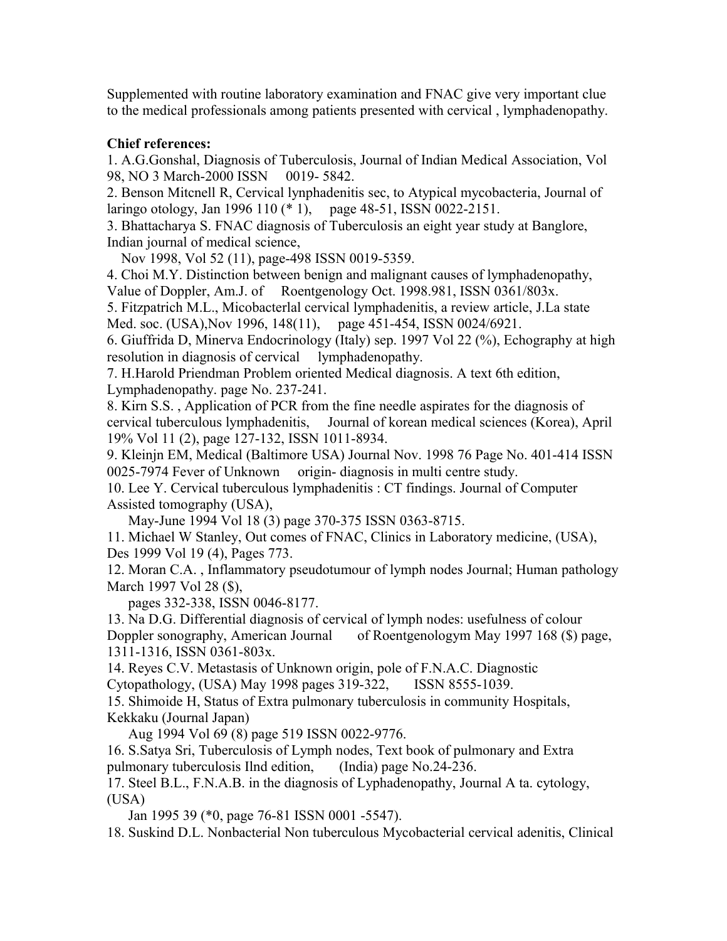Supplemented with routine laboratory examination and FNAC give very important clue to the medical professionals among patients presented with cervical , lymphadenopathy.

# **Chief references:**

1. A.G.Gonshal, Diagnosis of Tuberculosis, Journal of Indian Medical Association, Vol 98, NO 3 March-2000 ISSN 0019- 5842.

2. Benson Mitcnell R, Cervical lynphadenitis sec, to Atypical mycobacteria, Journal of laringo otology, Jan 1996 110 (\* 1), page 48-51, ISSN 0022-2151.

3. Bhattacharya S. FNAC diagnosis of Tuberculosis an eight year study at Banglore, Indian journal of medical science,

Nov 1998, Vol 52 (11), page-498 ISSN 0019-5359.

4. Choi M.Y. Distinction between benign and malignant causes of lymphadenopathy, Value of Doppler, Am.J. of Roentgenology Oct. 1998.981, ISSN 0361/803x.

5. Fitzpatrich M.L., Micobacterlal cervical lymphadenitis, a review article, J.La state Med. soc. (USA),Nov 1996, 148(11), page 451-454, ISSN 0024/6921.

6. Giuffrida D, Minerva Endocrinology (Italy) sep. 1997 Vol 22 (%), Echography at high resolution in diagnosis of cervical lymphadenopathy.

7. H.Harold Priendman Problem oriented Medical diagnosis. A text 6th edition, Lymphadenopathy. page No. 237-241.

8. Kirn S.S. , Application of PCR from the fine needle aspirates for the diagnosis of cervical tuberculous lymphadenitis, Journal of korean medical sciences (Korea), April 19% Vol 11 (2), page 127-132, ISSN 1011-8934.

9. Kleinjn EM, Medical (Baltimore USA) Journal Nov. 1998 76 Page No. 401-414 ISSN 0025-7974 Fever of Unknown origin- diagnosis in multi centre study.

10. Lee Y. Cervical tuberculous lymphadenitis : CT findings. Journal of Computer Assisted tomography (USA),

May-June 1994 Vol 18 (3) page 370-375 ISSN 0363-8715.

11. Michael W Stanley, Out comes of FNAC, Clinics in Laboratory medicine, (USA), Des 1999 Vol 19 (4), Pages 773.

12. Moran C.A. , Inflammatory pseudotumour of lymph nodes Journal; Human pathology March 1997 Vol 28 (\$),

pages 332-338, ISSN 0046-8177.

13. Na D.G. Differential diagnosis of cervical of lymph nodes: usefulness of colour Doppler sonography, American Journal of Roentgenologym May 1997 168 (\$) page, 1311-1316, ISSN 0361-803x.

14. Reyes C.V. Metastasis of Unknown origin, pole of F.N.A.C. Diagnostic

Cytopathology, (USA) May 1998 pages 319-322, ISSN 8555-1039.

15. Shimoide H, Status of Extra pulmonary tuberculosis in community Hospitals, Kekkaku (Journal Japan)

Aug 1994 Vol 69 (8) page 519 ISSN 0022-9776.

16. S.Satya Sri, Tuberculosis of Lymph nodes, Text book of pulmonary and Extra pulmonary tuberculosis Ilnd edition, (India) page No.24-236.

17. Steel B.L., F.N.A.B. in the diagnosis of Lyphadenopathy, Journal A ta. cytology, (USA)

Jan 1995 39 (\*0, page 76-81 ISSN 0001 -5547).

18. Suskind D.L. Nonbacterial Non tuberculous Mycobacterial cervical adenitis, Clinical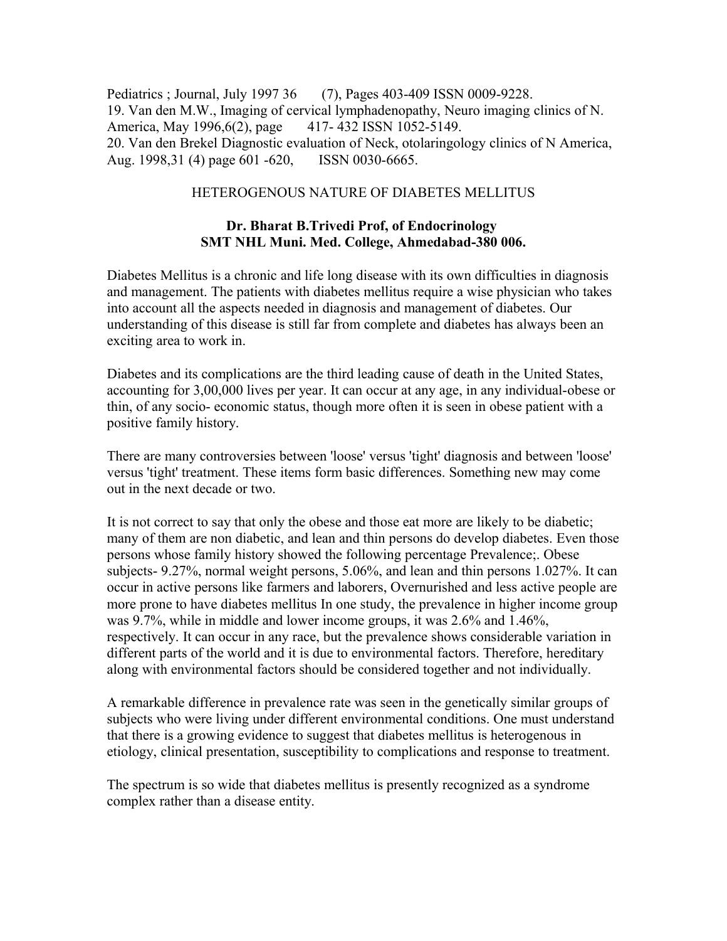Pediatrics ; Journal, July 1997 36 (7), Pages 403-409 ISSN 0009-9228. 19. Van den M.W., Imaging of cervical lymphadenopathy, Neuro imaging clinics of N. America, May 1996, 6(2), page 417- 432 ISSN 1052-5149. 20. Van den Brekel Diagnostic evaluation of Neck, otolaringology clinics of N America, Aug. 1998,31 (4) page 601 -620, ISSN 0030-6665.

#### HETEROGENOUS NATURE OF DIABETES MELLITUS

### **Dr. Bharat B.Trivedi Prof, of Endocrinology SMT NHL Muni. Med. College, Ahmedabad-380 006.**

Diabetes Mellitus is a chronic and life long disease with its own difficulties in diagnosis and management. The patients with diabetes mellitus require a wise physician who takes into account all the aspects needed in diagnosis and management of diabetes. Our understanding of this disease is still far from complete and diabetes has always been an exciting area to work in.

Diabetes and its complications are the third leading cause of death in the United States, accounting for 3,00,000 lives per year. It can occur at any age, in any individual-obese or thin, of any socio- economic status, though more often it is seen in obese patient with a positive family history.

There are many controversies between 'loose' versus 'tight' diagnosis and between 'loose' versus 'tight' treatment. These items form basic differences. Something new may come out in the next decade or two.

It is not correct to say that only the obese and those eat more are likely to be diabetic; many of them are non diabetic, and lean and thin persons do develop diabetes. Even those persons whose family history showed the following percentage Prevalence;. Obese subjects- 9.27%, normal weight persons, 5.06%, and lean and thin persons 1.027%. It can occur in active persons like farmers and laborers, Overnurished and less active people are more prone to have diabetes mellitus In one study, the prevalence in higher income group was 9.7%, while in middle and lower income groups, it was 2.6% and 1.46%, respectively. It can occur in any race, but the prevalence shows considerable variation in different parts of the world and it is due to environmental factors. Therefore, hereditary along with environmental factors should be considered together and not individually.

A remarkable difference in prevalence rate was seen in the genetically similar groups of subjects who were living under different environmental conditions. One must understand that there is a growing evidence to suggest that diabetes mellitus is heterogenous in etiology, clinical presentation, susceptibility to complications and response to treatment.

The spectrum is so wide that diabetes mellitus is presently recognized as a syndrome complex rather than a disease entity.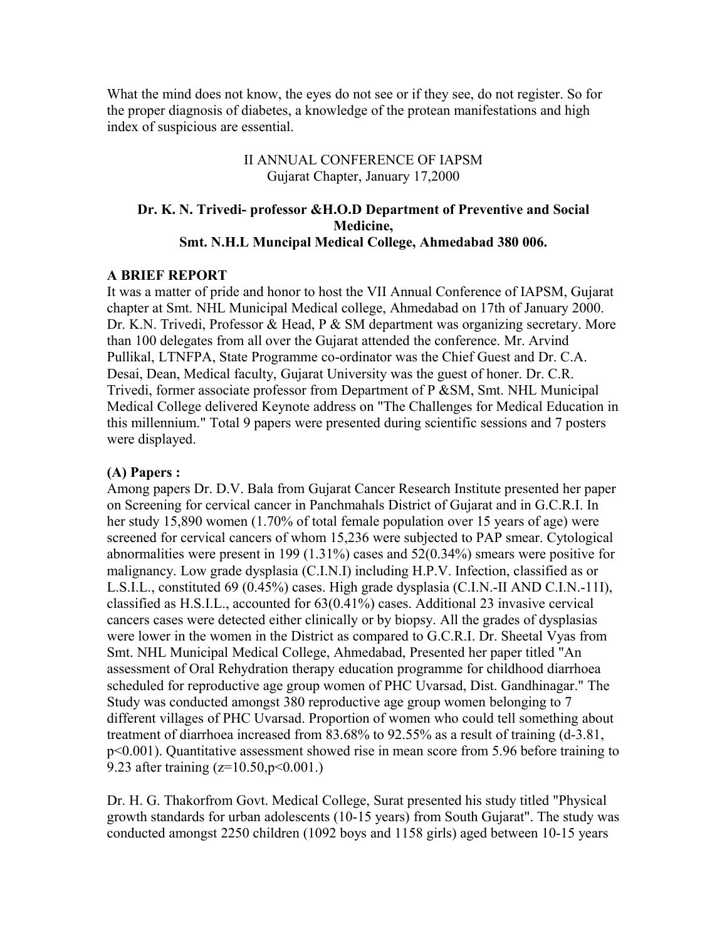What the mind does not know, the eyes do not see or if they see, do not register. So for the proper diagnosis of diabetes, a knowledge of the protean manifestations and high index of suspicious are essential.

> II ANNUAL CONFERENCE OF IAPSM Gujarat Chapter, January 17,2000

### **Dr. K. N. Trivedi- professor &H.O.D Department of Preventive and Social Medicine, Smt. N.H.L Muncipal Medical College, Ahmedabad 380 006.**

#### **A BRIEF REPORT**

It was a matter of pride and honor to host the VII Annual Conference of IAPSM, Gujarat chapter at Smt. NHL Municipal Medical college, Ahmedabad on 17th of January 2000. Dr. K.N. Trivedi, Professor & Head, P & SM department was organizing secretary. More than 100 delegates from all over the Gujarat attended the conference. Mr. Arvind Pullikal, LTNFPA, State Programme co-ordinator was the Chief Guest and Dr. C.A. Desai, Dean, Medical faculty, Gujarat University was the guest of honer. Dr. C.R. Trivedi, former associate professor from Department of P &SM, Smt. NHL Municipal Medical College delivered Keynote address on "The Challenges for Medical Education in this millennium." Total 9 papers were presented during scientific sessions and 7 posters were displayed.

#### **(A) Papers :**

Among papers Dr. D.V. Bala from Gujarat Cancer Research Institute presented her paper on Screening for cervical cancer in Panchmahals District of Gujarat and in G.C.R.I. In her study 15,890 women (1.70% of total female population over 15 years of age) were screened for cervical cancers of whom 15,236 were subjected to PAP smear. Cytological abnormalities were present in 199 (1.31%) cases and 52(0.34%) smears were positive for malignancy. Low grade dysplasia (C.I.N.I) including H.P.V. Infection, classified as or L.S.I.L., constituted 69 (0.45%) cases. High grade dysplasia (C.I.N.-II AND C.I.N.-11I), classified as H.S.I.L., accounted for 63(0.41%) cases. Additional 23 invasive cervical cancers cases were detected either clinically or by biopsy. All the grades of dysplasias were lower in the women in the District as compared to G.C.R.I. Dr. Sheetal Vyas from Smt. NHL Municipal Medical College, Ahmedabad, Presented her paper titled "An assessment of Oral Rehydration therapy education programme for childhood diarrhoea scheduled for reproductive age group women of PHC Uvarsad, Dist. Gandhinagar." The Study was conducted amongst 380 reproductive age group women belonging to 7 different villages of PHC Uvarsad. Proportion of women who could tell something about treatment of diarrhoea increased from 83.68% to 92.55% as a result of training (d-3.81, p<0.001). Quantitative assessment showed rise in mean score from 5.96 before training to 9.23 after training (z=10.50,p<0.001.)

Dr. H. G. Thakorfrom Govt. Medical College, Surat presented his study titled "Physical growth standards for urban adolescents (10-15 years) from South Gujarat". The study was conducted amongst 2250 children (1092 boys and 1158 girls) aged between 10-15 years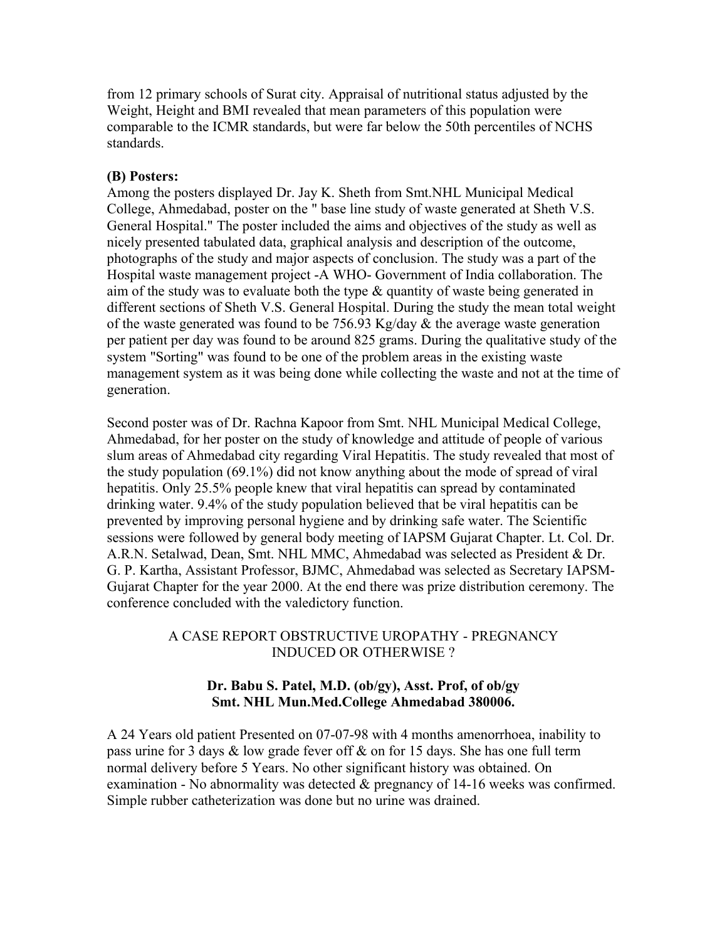from 12 primary schools of Surat city. Appraisal of nutritional status adjusted by the Weight, Height and BMI revealed that mean parameters of this population were comparable to the ICMR standards, but were far below the 50th percentiles of NCHS standards.

#### **(B) Posters:**

Among the posters displayed Dr. Jay K. Sheth from Smt.NHL Municipal Medical College, Ahmedabad, poster on the " base line study of waste generated at Sheth V.S. General Hospital." The poster included the aims and objectives of the study as well as nicely presented tabulated data, graphical analysis and description of the outcome, photographs of the study and major aspects of conclusion. The study was a part of the Hospital waste management project -A WHO- Government of India collaboration. The aim of the study was to evaluate both the type  $\&$  quantity of waste being generated in different sections of Sheth V.S. General Hospital. During the study the mean total weight of the waste generated was found to be  $756.93$  Kg/day  $&$  the average waste generation per patient per day was found to be around 825 grams. During the qualitative study of the system "Sorting" was found to be one of the problem areas in the existing waste management system as it was being done while collecting the waste and not at the time of generation.

Second poster was of Dr. Rachna Kapoor from Smt. NHL Municipal Medical College, Ahmedabad, for her poster on the study of knowledge and attitude of people of various slum areas of Ahmedabad city regarding Viral Hepatitis. The study revealed that most of the study population (69.1%) did not know anything about the mode of spread of viral hepatitis. Only 25.5% people knew that viral hepatitis can spread by contaminated drinking water. 9.4% of the study population believed that be viral hepatitis can be prevented by improving personal hygiene and by drinking safe water. The Scientific sessions were followed by general body meeting of IAPSM Gujarat Chapter. Lt. Col. Dr. A.R.N. Setalwad, Dean, Smt. NHL MMC, Ahmedabad was selected as President & Dr. G. P. Kartha, Assistant Professor, BJMC, Ahmedabad was selected as Secretary IAPSM-Gujarat Chapter for the year 2000. At the end there was prize distribution ceremony. The conference concluded with the valedictory function.

### A CASE REPORT OBSTRUCTIVE UROPATHY - PREGNANCY INDUCED OR OTHERWISE ?

### **Dr. Babu S. Patel, M.D. (ob/gy), Asst. Prof, of ob/gy Smt. NHL Mun.Med.College Ahmedabad 380006.**

A 24 Years old patient Presented on 07-07-98 with 4 months amenorrhoea, inability to pass urine for 3 days & low grade fever off & on for 15 days. She has one full term normal delivery before 5 Years. No other significant history was obtained. On examination - No abnormality was detected & pregnancy of 14-16 weeks was confirmed. Simple rubber catheterization was done but no urine was drained.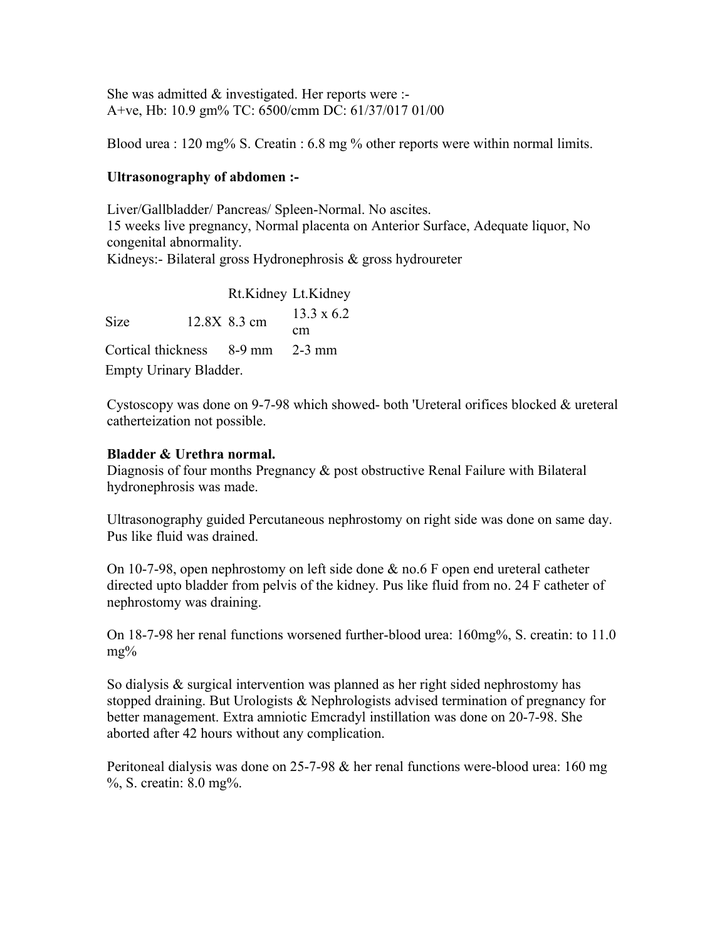She was admitted  $&$  investigated. Her reports were :-A+ve, Hb: 10.9 gm% TC: 6500/cmm DC: 61/37/017 01/00

Blood urea : 120 mg% S. Creatin : 6.8 mg % other reports were within normal limits.

### **Ultrasonography of abdomen :-**

Liver/Gallbladder/ Pancreas/ Spleen-Normal. No ascites. 15 weeks live pregnancy, Normal placenta on Anterior Surface, Adequate liquor, No congenital abnormality. Kidneys:- Bilateral gross Hydronephrosis & gross hydroureter

Rt.Kidney Lt.Kidney Size 12.8X 8.3 cm 13.3 x 6.2 cm Cortical thickness 8-9 mm 2-3 mm Empty Urinary Bladder.

Cystoscopy was done on 9-7-98 which showed- both 'Ureteral orifices blocked & ureteral catherteization not possible.

### **Bladder & Urethra normal.**

Diagnosis of four months Pregnancy & post obstructive Renal Failure with Bilateral hydronephrosis was made.

Ultrasonography guided Percutaneous nephrostomy on right side was done on same day. Pus like fluid was drained.

On 10-7-98, open nephrostomy on left side done & no.6 F open end ureteral catheter directed upto bladder from pelvis of the kidney. Pus like fluid from no. 24 F catheter of nephrostomy was draining.

On 18-7-98 her renal functions worsened further-blood urea: 160mg%, S. creatin: to 11.0 mg%

So dialysis & surgical intervention was planned as her right sided nephrostomy has stopped draining. But Urologists & Nephrologists advised termination of pregnancy for better management. Extra amniotic Emcradyl instillation was done on 20-7-98. She aborted after 42 hours without any complication.

Peritoneal dialysis was done on 25-7-98 & her renal functions were-blood urea: 160 mg %, S. creatin: 8.0 mg%.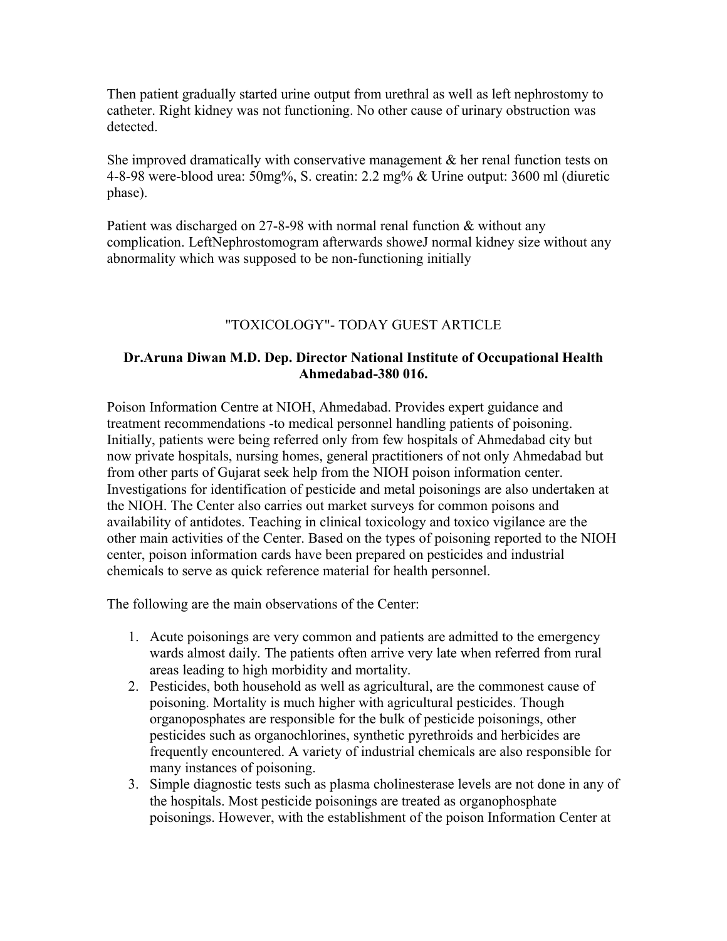Then patient gradually started urine output from urethral as well as left nephrostomy to catheter. Right kidney was not functioning. No other cause of urinary obstruction was detected.

She improved dramatically with conservative management  $\&$  her renal function tests on 4-8-98 were-blood urea: 50mg%, S. creatin: 2.2 mg% & Urine output: 3600 ml (diuretic phase).

Patient was discharged on 27-8-98 with normal renal function & without any complication. LeftNephrostomogram afterwards showeJ normal kidney size without any abnormality which was supposed to be non-functioning initially

### "TOXICOLOGY"- TODAY GUEST ARTICLE

### **Dr.Aruna Diwan M.D. Dep. Director National Institute of Occupational Health Ahmedabad-380 016.**

Poison Information Centre at NIOH, Ahmedabad. Provides expert guidance and treatment recommendations -to medical personnel handling patients of poisoning. Initially, patients were being referred only from few hospitals of Ahmedabad city but now private hospitals, nursing homes, general practitioners of not only Ahmedabad but from other parts of Gujarat seek help from the NIOH poison information center. Investigations for identification of pesticide and metal poisonings are also undertaken at the NIOH. The Center also carries out market surveys for common poisons and availability of antidotes. Teaching in clinical toxicology and toxico vigilance are the other main activities of the Center. Based on the types of poisoning reported to the NIOH center, poison information cards have been prepared on pesticides and industrial chemicals to serve as quick reference material for health personnel.

The following are the main observations of the Center:

- 1. Acute poisonings are very common and patients are admitted to the emergency wards almost daily. The patients often arrive very late when referred from rural areas leading to high morbidity and mortality.
- 2. Pesticides, both household as well as agricultural, are the commonest cause of poisoning. Mortality is much higher with agricultural pesticides. Though organoposphates are responsible for the bulk of pesticide poisonings, other pesticides such as organochlorines, synthetic pyrethroids and herbicides are frequently encountered. A variety of industrial chemicals are also responsible for many instances of poisoning.
- 3. Simple diagnostic tests such as plasma cholinesterase levels are not done in any of the hospitals. Most pesticide poisonings are treated as organophosphate poisonings. However, with the establishment of the poison Information Center at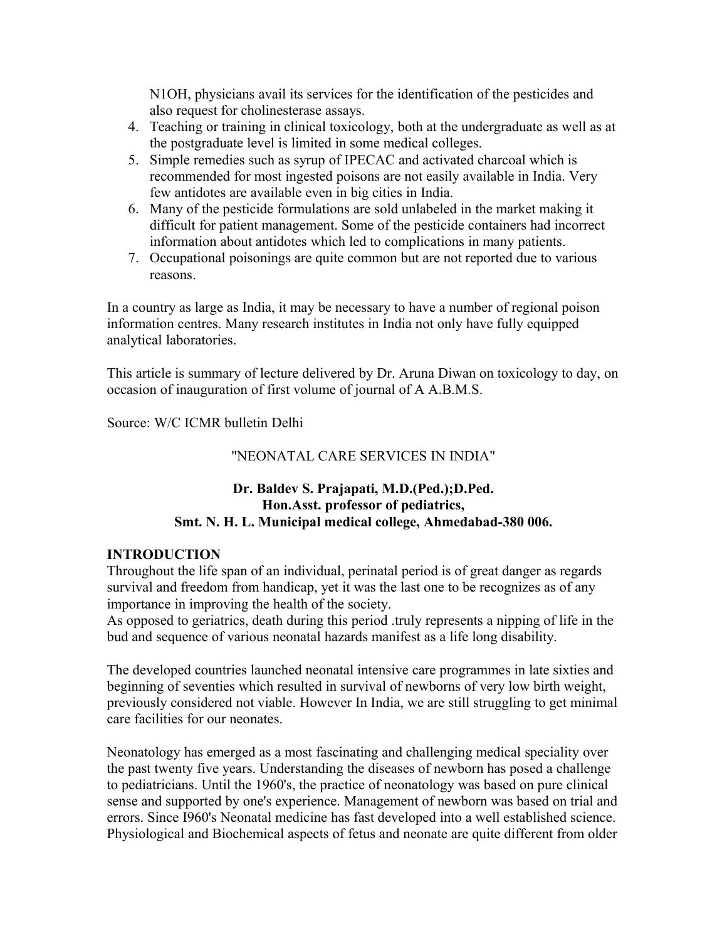N1OH, physicians avail its services for the identification of the pesticides and also request for cholinesterase assays.

- 4. Teaching or training in clinical toxicology, both at the undergraduate as well as at the postgraduate level is limited in some medical colleges.
- 5. Simple remedies such as syrup of IPECAC and activated charcoal which is recommended for most ingested poisons are not easily available in India. Very few antidotes are available even in big cities in India.
- 6. Many of the pesticide formulations are sold unlabeled in the market making it difficult for patient management. Some of the pesticide containers had incorrect information about antidotes which led to complications in many patients.
- 7. Occupational poisonings are quite common but are not reported due to various reasons.

In a country as large as India, it may be necessary to have a number of regional poison information centres. Many research institutes in India not only have fully equipped analytical laboratories.

This article is summary of lecture delivered by Dr. Aruna Diwan on toxicology to day, on occasion of inauguration of first volume of journal of A A.B.M.S.

Source: W/C ICMR bulletin Delhi

### "NEONATAL CARE SERVICES IN INDIA"

### **Dr. Baldev S. Prajapati, M.D.(Ped.);D.Ped. Hon.Asst. professor of pediatrics, Smt. N. H. L. Municipal medical college, Ahmedabad-380 006.**

### **INTRODUCTION**

Throughout the life span of an individual, perinatal period is of great danger as regards survival and freedom from handicap, yet it was the last one to be recognizes as of any importance in improving the health of the society.

As opposed to geriatrics, death during this period .truly represents a nipping of life in the bud and sequence of various neonatal hazards manifest as a life long disability.

The developed countries launched neonatal intensive care programmes in late sixties and beginning of seventies which resulted in survival of newborns of very low birth weight, previously considered not viable. However In India, we are still struggling to get minimal care facilities for our neonates.

Neonatology has emerged as a most fascinating and challenging medical speciality over the past twenty five years. Understanding the diseases of newborn has posed a challenge to pediatricians. Until the 1960's, the practice of neonatology was based on pure clinical sense and supported by one's experience. Management of newborn was based on trial and errors. Since I960's Neonatal medicine has fast developed into a well established science. Physiological and Biochemical aspects of fetus and neonate are quite different from older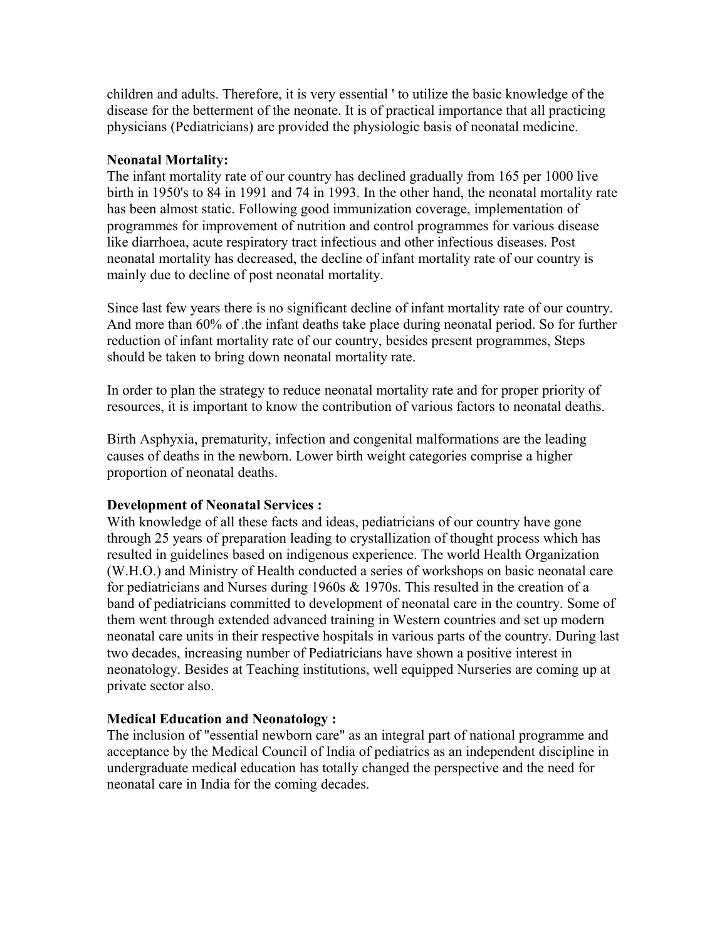children and adults. Therefore, it is very essential ' to utilize the basic knowledge of the disease for the betterment of the neonate. It is of practical importance that all practicing physicians (Pediatricians) are provided the physiologic basis of neonatal medicine.

#### **Neonatal Mortality:**

The infant mortality rate of our country has declined gradually from 165 per 1000 live birth in 1950's to 84 in 1991 and 74 in 1993. In the other hand, the neonatal mortality rate has been almost static. Following good immunization coverage, implementation of programmes for improvement of nutrition and control programmes for various disease like diarrhoea, acute respiratory tract infectious and other infectious diseases. Post neonatal mortality has decreased, the decline of infant mortality rate of our country is mainly due to decline of post neonatal mortality.

Since last few years there is no significant decline of infant mortality rate of our country. And more than 60% of .the infant deaths take place during neonatal period. So for further reduction of infant mortality rate of our country, besides present programmes, Steps should be taken to bring down neonatal mortality rate.

In order to plan the strategy to reduce neonatal mortality rate and for proper priority of resources, it is important to know the contribution of various factors to neonatal deaths.

Birth Asphyxia, prematurity, infection and congenital malformations are the leading causes of deaths in the newborn. Lower birth weight categories comprise a higher proportion of neonatal deaths.

### **Development of Neonatal Services :**

With knowledge of all these facts and ideas, pediatricians of our country have gone through 25 years of preparation leading to crystallization of thought process which has resulted in guidelines based on indigenous experience. The world Health Organization (W.H.O.) and Ministry of Health conducted a series of workshops on basic neonatal care for pediatricians and Nurses during 1960s & 1970s. This resulted in the creation of a band of pediatricians committed to development of neonatal care in the country. Some of them went through extended advanced training in Western countries and set up modern neonatal care units in their respective hospitals in various parts of the country. During last two decades, increasing number of Pediatricians have shown a positive interest in neonatology. Besides at Teaching institutions, well equipped Nurseries are coming up at private sector also.

### **Medical Education and Neonatology :**

The inclusion of "essential newborn care" as an integral part of national programme and acceptance by the Medical Council of India of pediatrics as an independent discipline in undergraduate medical education has totally changed the perspective and the need for neonatal care in India for the coming decades.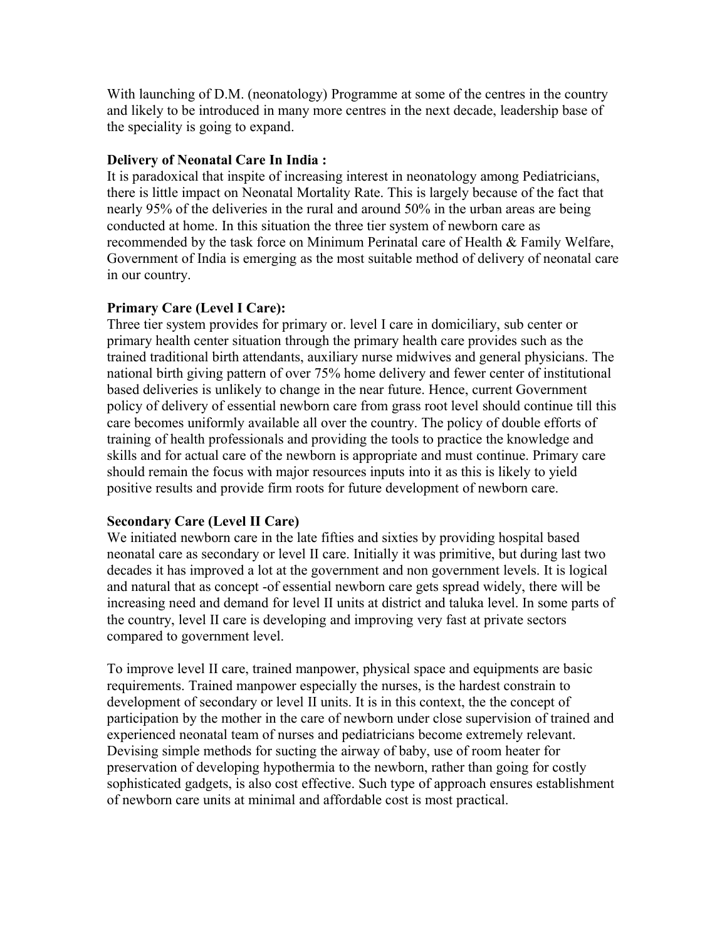With launching of D.M. (neonatology) Programme at some of the centres in the country and likely to be introduced in many more centres in the next decade, leadership base of the speciality is going to expand.

### **Delivery of Neonatal Care In India :**

It is paradoxical that inspite of increasing interest in neonatology among Pediatricians, there is little impact on Neonatal Mortality Rate. This is largely because of the fact that nearly 95% of the deliveries in the rural and around 50% in the urban areas are being conducted at home. In this situation the three tier system of newborn care as recommended by the task force on Minimum Perinatal care of Health & Family Welfare, Government of India is emerging as the most suitable method of delivery of neonatal care in our country.

### **Primary Care (Level I Care):**

Three tier system provides for primary or. level I care in domiciliary, sub center or primary health center situation through the primary health care provides such as the trained traditional birth attendants, auxiliary nurse midwives and general physicians. The national birth giving pattern of over 75% home delivery and fewer center of institutional based deliveries is unlikely to change in the near future. Hence, current Government policy of delivery of essential newborn care from grass root level should continue till this care becomes uniformly available all over the country. The policy of double efforts of training of health professionals and providing the tools to practice the knowledge and skills and for actual care of the newborn is appropriate and must continue. Primary care should remain the focus with major resources inputs into it as this is likely to yield positive results and provide firm roots for future development of newborn care.

### **Secondary Care (Level II Care)**

We initiated newborn care in the late fifties and sixties by providing hospital based neonatal care as secondary or level II care. Initially it was primitive, but during last two decades it has improved a lot at the government and non government levels. It is logical and natural that as concept -of essential newborn care gets spread widely, there will be increasing need and demand for level II units at district and taluka level. In some parts of the country, level II care is developing and improving very fast at private sectors compared to government level.

To improve level II care, trained manpower, physical space and equipments are basic requirements. Trained manpower especially the nurses, is the hardest constrain to development of secondary or level II units. It is in this context, the the concept of participation by the mother in the care of newborn under close supervision of trained and experienced neonatal team of nurses and pediatricians become extremely relevant. Devising simple methods for sucting the airway of baby, use of room heater for preservation of developing hypothermia to the newborn, rather than going for costly sophisticated gadgets, is also cost effective. Such type of approach ensures establishment of newborn care units at minimal and affordable cost is most practical.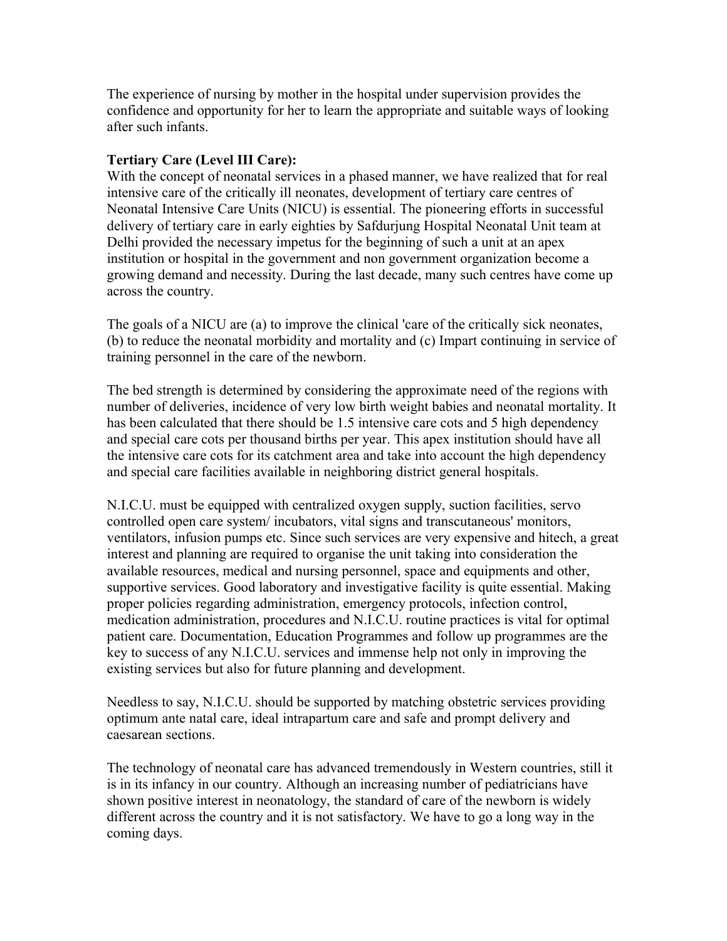The experience of nursing by mother in the hospital under supervision provides the confidence and opportunity for her to learn the appropriate and suitable ways of looking after such infants.

### **Tertiary Care (Level III Care):**

With the concept of neonatal services in a phased manner, we have realized that for real intensive care of the critically ill neonates, development of tertiary care centres of Neonatal Intensive Care Units (NICU) is essential. The pioneering efforts in successful delivery of tertiary care in early eighties by Safdurjung Hospital Neonatal Unit team at Delhi provided the necessary impetus for the beginning of such a unit at an apex institution or hospital in the government and non government organization become a growing demand and necessity. During the last decade, many such centres have come up across the country.

The goals of a NICU are (a) to improve the clinical 'care of the critically sick neonates, (b) to reduce the neonatal morbidity and mortality and (c) Impart continuing in service of training personnel in the care of the newborn.

The bed strength is determined by considering the approximate need of the regions with number of deliveries, incidence of very low birth weight babies and neonatal mortality. It has been calculated that there should be 1.5 intensive care cots and 5 high dependency and special care cots per thousand births per year. This apex institution should have all the intensive care cots for its catchment area and take into account the high dependency and special care facilities available in neighboring district general hospitals.

N.I.C.U. must be equipped with centralized oxygen supply, suction facilities, servo controlled open care system/ incubators, vital signs and transcutaneous' monitors, ventilators, infusion pumps etc. Since such services are very expensive and hitech, a great interest and planning are required to organise the unit taking into consideration the available resources, medical and nursing personnel, space and equipments and other, supportive services. Good laboratory and investigative facility is quite essential. Making proper policies regarding administration, emergency protocols, infection control, medication administration, procedures and N.I.C.U. routine practices is vital for optimal patient care. Documentation, Education Programmes and follow up programmes are the key to success of any N.I.C.U. services and immense help not only in improving the existing services but also for future planning and development.

Needless to say, N.I.C.U. should be supported by matching obstetric services providing optimum ante natal care, ideal intrapartum care and safe and prompt delivery and caesarean sections.

The technology of neonatal care has advanced tremendously in Western countries, still it is in its infancy in our country. Although an increasing number of pediatricians have shown positive interest in neonatology, the standard of care of the newborn is widely different across the country and it is not satisfactory. We have to go a long way in the coming days.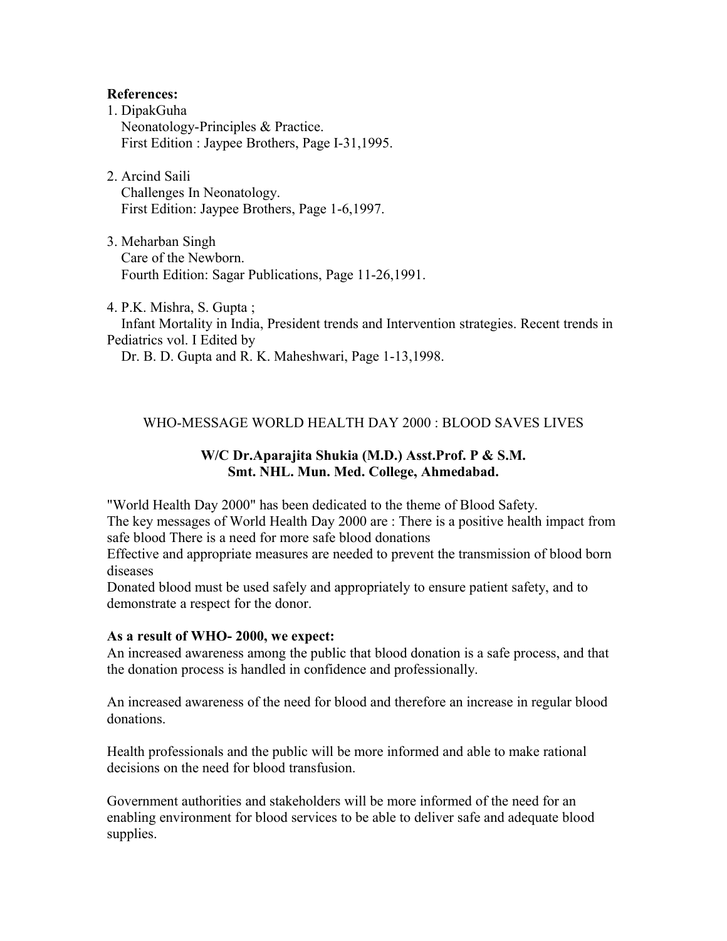#### **References:**

- 1. DipakGuha Neonatology-Principles & Practice. First Edition : Jaypee Brothers, Page I-31,1995.
- 2. Arcind Saili Challenges In Neonatology. First Edition: Jaypee Brothers, Page 1-6,1997.
- 3. Meharban Singh Care of the Newborn. Fourth Edition: Sagar Publications, Page 11-26,1991.

4. P.K. Mishra, S. Gupta ; Infant Mortality in India, President trends and Intervention strategies. Recent trends in Pediatrics vol. I Edited by Dr. B. D. Gupta and R. K. Maheshwari, Page 1-13,1998.

### WHO-MESSAGE WORLD HEALTH DAY 2000 : BLOOD SAVES LIVES

### **W/C Dr.Aparajita Shukia (M.D.) Asst.Prof. P & S.M. Smt. NHL. Mun. Med. College, Ahmedabad.**

"World Health Day 2000" has been dedicated to the theme of Blood Safety.

The key messages of World Health Day 2000 are : There is a positive health impact from safe blood There is a need for more safe blood donations

Effective and appropriate measures are needed to prevent the transmission of blood born diseases

Donated blood must be used safely and appropriately to ensure patient safety, and to demonstrate a respect for the donor.

#### **As a result of WHO- 2000, we expect:**

An increased awareness among the public that blood donation is a safe process, and that the donation process is handled in confidence and professionally.

An increased awareness of the need for blood and therefore an increase in regular blood donations.

Health professionals and the public will be more informed and able to make rational decisions on the need for blood transfusion.

Government authorities and stakeholders will be more informed of the need for an enabling environment for blood services to be able to deliver safe and adequate blood supplies.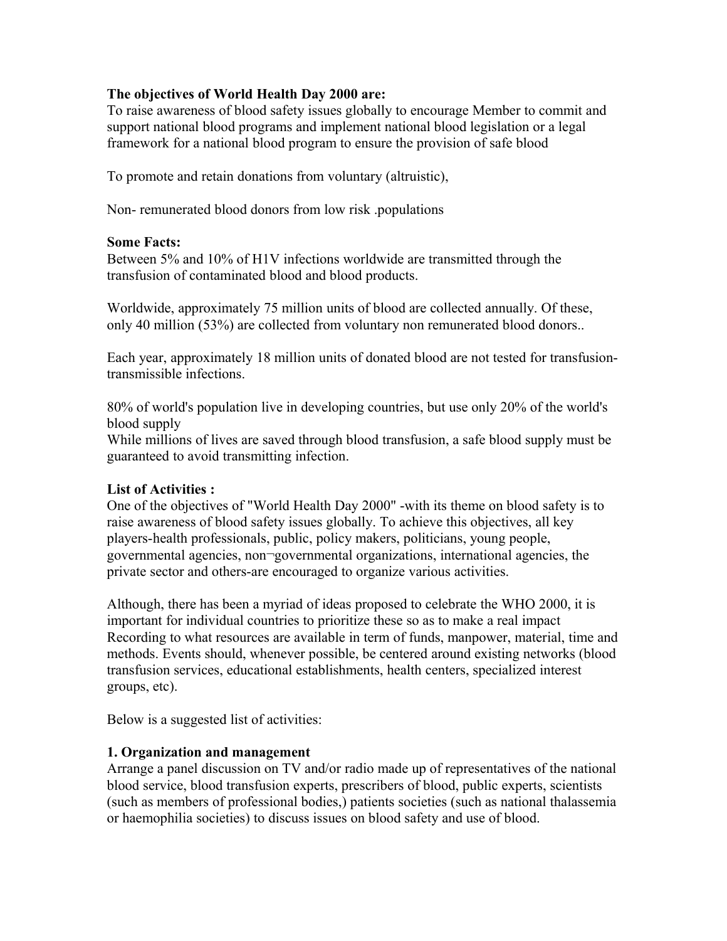### **The objectives of World Health Day 2000 are:**

To raise awareness of blood safety issues globally to encourage Member to commit and support national blood programs and implement national blood legislation or a legal framework for a national blood program to ensure the provision of safe blood

To promote and retain donations from voluntary (altruistic),

Non- remunerated blood donors from low risk .populations

#### **Some Facts:**

Between 5% and 10% of H1V infections worldwide are transmitted through the transfusion of contaminated blood and blood products.

Worldwide, approximately 75 million units of blood are collected annually. Of these, only 40 million (53%) are collected from voluntary non remunerated blood donors..

Each year, approximately 18 million units of donated blood are not tested for transfusiontransmissible infections.

80% of world's population live in developing countries, but use only 20% of the world's blood supply

While millions of lives are saved through blood transfusion, a safe blood supply must be guaranteed to avoid transmitting infection.

### **List of Activities :**

One of the objectives of "World Health Day 2000" -with its theme on blood safety is to raise awareness of blood safety issues globally. To achieve this objectives, all key players-health professionals, public, policy makers, politicians, young people, governmental agencies, non¬governmental organizations, international agencies, the private sector and others-are encouraged to organize various activities.

Although, there has been a myriad of ideas proposed to celebrate the WHO 2000, it is important for individual countries to prioritize these so as to make a real impact Recording to what resources are available in term of funds, manpower, material, time and methods. Events should, whenever possible, be centered around existing networks (blood transfusion services, educational establishments, health centers, specialized interest groups, etc).

Below is a suggested list of activities:

### **1. Organization and management**

Arrange a panel discussion on TV and/or radio made up of representatives of the national blood service, blood transfusion experts, prescribers of blood, public experts, scientists (such as members of professional bodies,) patients societies (such as national thalassemia or haemophilia societies) to discuss issues on blood safety and use of blood.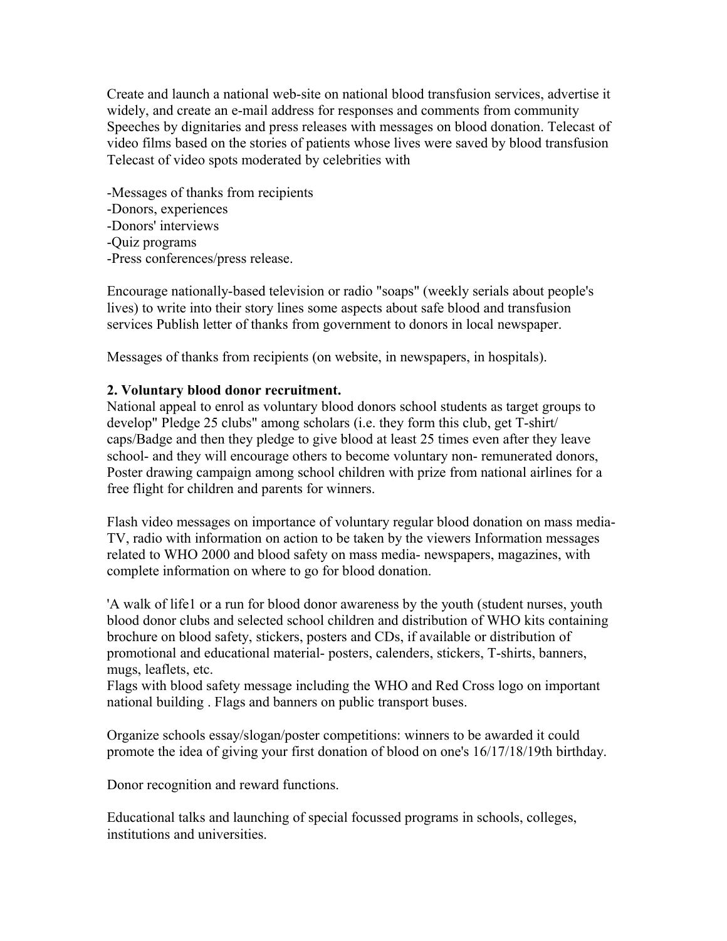Create and launch a national web-site on national blood transfusion services, advertise it widely, and create an e-mail address for responses and comments from community Speeches by dignitaries and press releases with messages on blood donation. Telecast of video films based on the stories of patients whose lives were saved by blood transfusion Telecast of video spots moderated by celebrities with

-Messages of thanks from recipients -Donors, experiences -Donors' interviews -Quiz programs -Press conferences/press release.

Encourage nationally-based television or radio "soaps" (weekly serials about people's lives) to write into their story lines some aspects about safe blood and transfusion services Publish letter of thanks from government to donors in local newspaper.

Messages of thanks from recipients (on website, in newspapers, in hospitals).

### **2. Voluntary blood donor recruitment.**

National appeal to enrol as voluntary blood donors school students as target groups to develop" Pledge 25 clubs" among scholars (i.e. they form this club, get T-shirt/ caps/Badge and then they pledge to give blood at least 25 times even after they leave school- and they will encourage others to become voluntary non- remunerated donors, Poster drawing campaign among school children with prize from national airlines for a free flight for children and parents for winners.

Flash video messages on importance of voluntary regular blood donation on mass media-TV, radio with information on action to be taken by the viewers Information messages related to WHO 2000 and blood safety on mass media- newspapers, magazines, with complete information on where to go for blood donation.

'A walk of life1 or a run for blood donor awareness by the youth (student nurses, youth blood donor clubs and selected school children and distribution of WHO kits containing brochure on blood safety, stickers, posters and CDs, if available or distribution of promotional and educational material- posters, calenders, stickers, T-shirts, banners, mugs, leaflets, etc.

Flags with blood safety message including the WHO and Red Cross logo on important national building . Flags and banners on public transport buses.

Organize schools essay/slogan/poster competitions: winners to be awarded it could promote the idea of giving your first donation of blood on one's 16/17/18/19th birthday.

Donor recognition and reward functions.

Educational talks and launching of special focussed programs in schools, colleges, institutions and universities.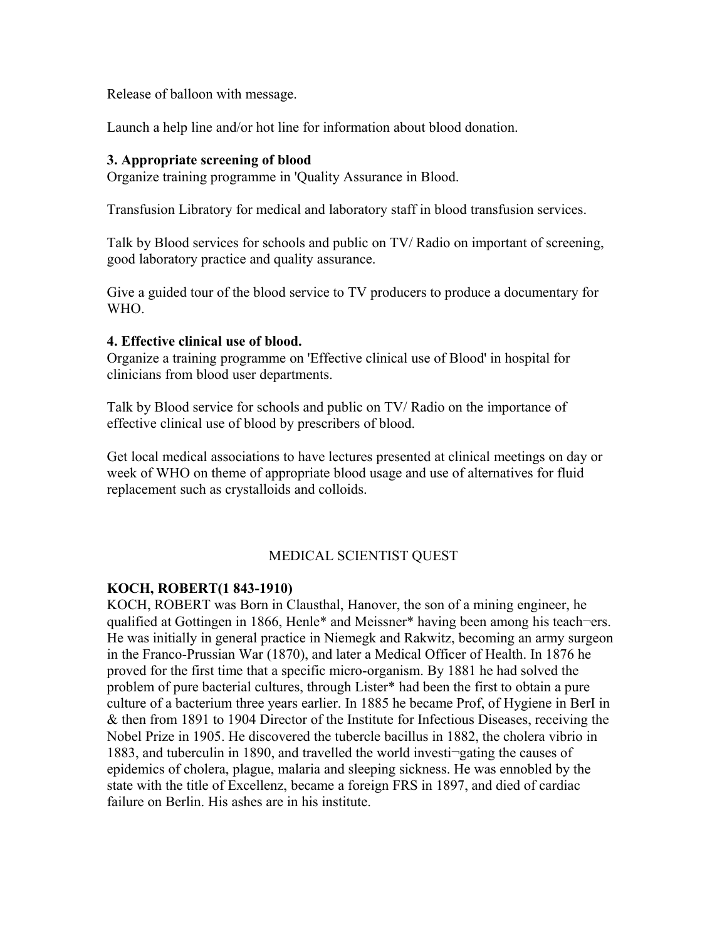Release of balloon with message.

Launch a help line and/or hot line for information about blood donation.

#### **3. Appropriate screening of blood**

Organize training programme in 'Quality Assurance in Blood.

Transfusion Libratory for medical and laboratory staff in blood transfusion services.

Talk by Blood services for schools and public on TV/ Radio on important of screening, good laboratory practice and quality assurance.

Give a guided tour of the blood service to TV producers to produce a documentary for WHO.

#### **4. Effective clinical use of blood.**

Organize a training programme on 'Effective clinical use of Blood' in hospital for clinicians from blood user departments.

Talk by Blood service for schools and public on TV/ Radio on the importance of effective clinical use of blood by prescribers of blood.

Get local medical associations to have lectures presented at clinical meetings on day or week of WHO on theme of appropriate blood usage and use of alternatives for fluid replacement such as crystalloids and colloids.

#### MEDICAL SCIENTIST QUEST

#### **KOCH, ROBERT(1 843-1910)**

KOCH, ROBERT was Born in Clausthal, Hanover, the son of a mining engineer, he qualified at Gottingen in 1866, Henle\* and Meissner\* having been among his teach¬ers. He was initially in general practice in Niemegk and Rakwitz, becoming an army surgeon in the Franco-Prussian War (1870), and later a Medical Officer of Health. In 1876 he proved for the first time that a specific micro-organism. By 1881 he had solved the problem of pure bacterial cultures, through Lister\* had been the first to obtain a pure culture of a bacterium three years earlier. In 1885 he became Prof, of Hygiene in BerI in & then from 1891 to 1904 Director of the Institute for Infectious Diseases, receiving the Nobel Prize in 1905. He discovered the tubercle bacillus in 1882, the cholera vibrio in 1883, and tuberculin in 1890, and travelled the world investi¬gating the causes of epidemics of cholera, plague, malaria and sleeping sickness. He was ennobled by the state with the title of Excellenz, became a foreign FRS in 1897, and died of cardiac failure on Berlin. His ashes are in his institute.